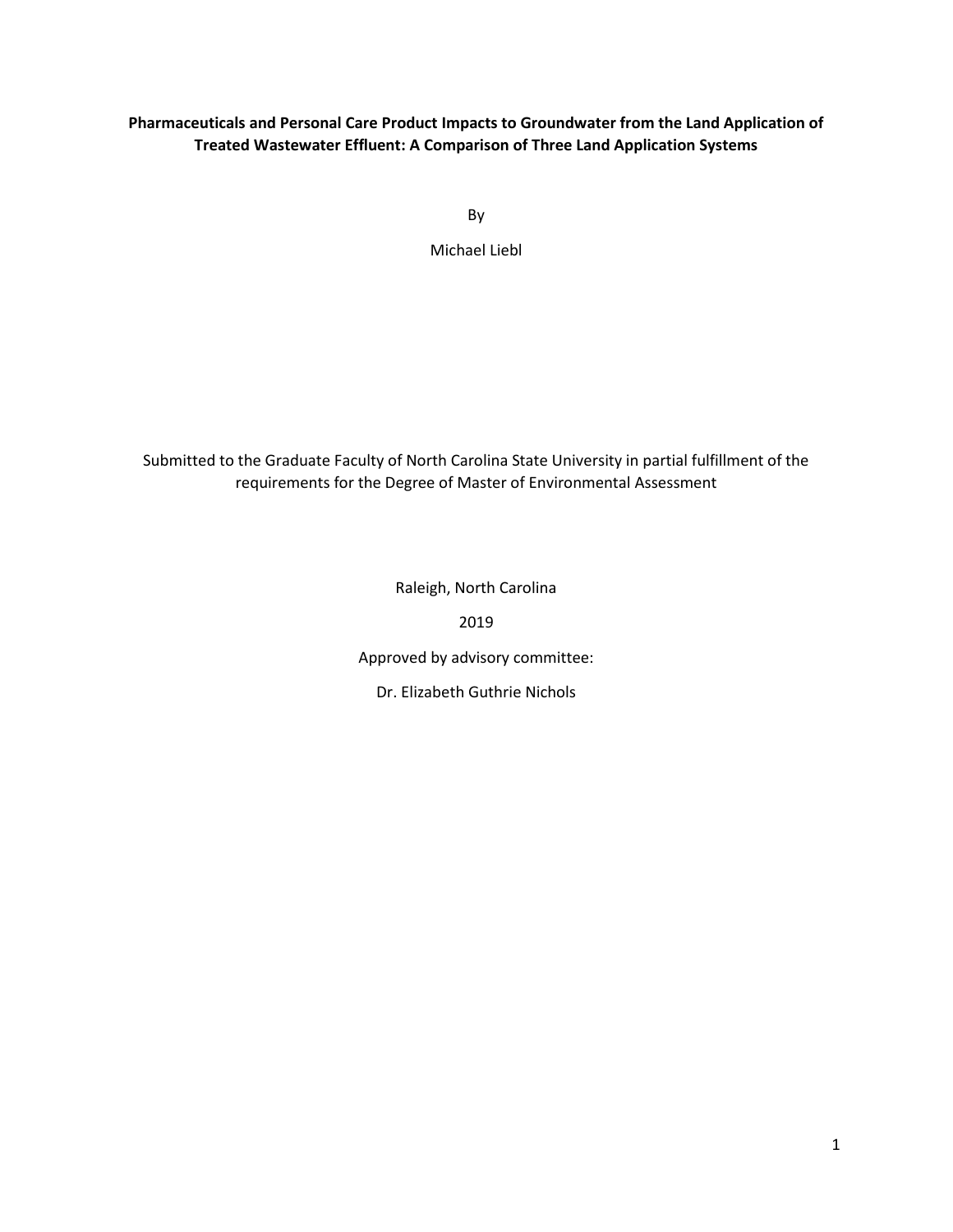# **Pharmaceuticals and Personal Care Product Impacts to Groundwater from the Land Application of Treated Wastewater Effluent: A Comparison of Three Land Application Systems**

By

Michael Liebl

Submitted to the Graduate Faculty of North Carolina State University in partial fulfillment of the requirements for the Degree of Master of Environmental Assessment

Raleigh, North Carolina

2019

Approved by advisory committee:

Dr. Elizabeth Guthrie Nichols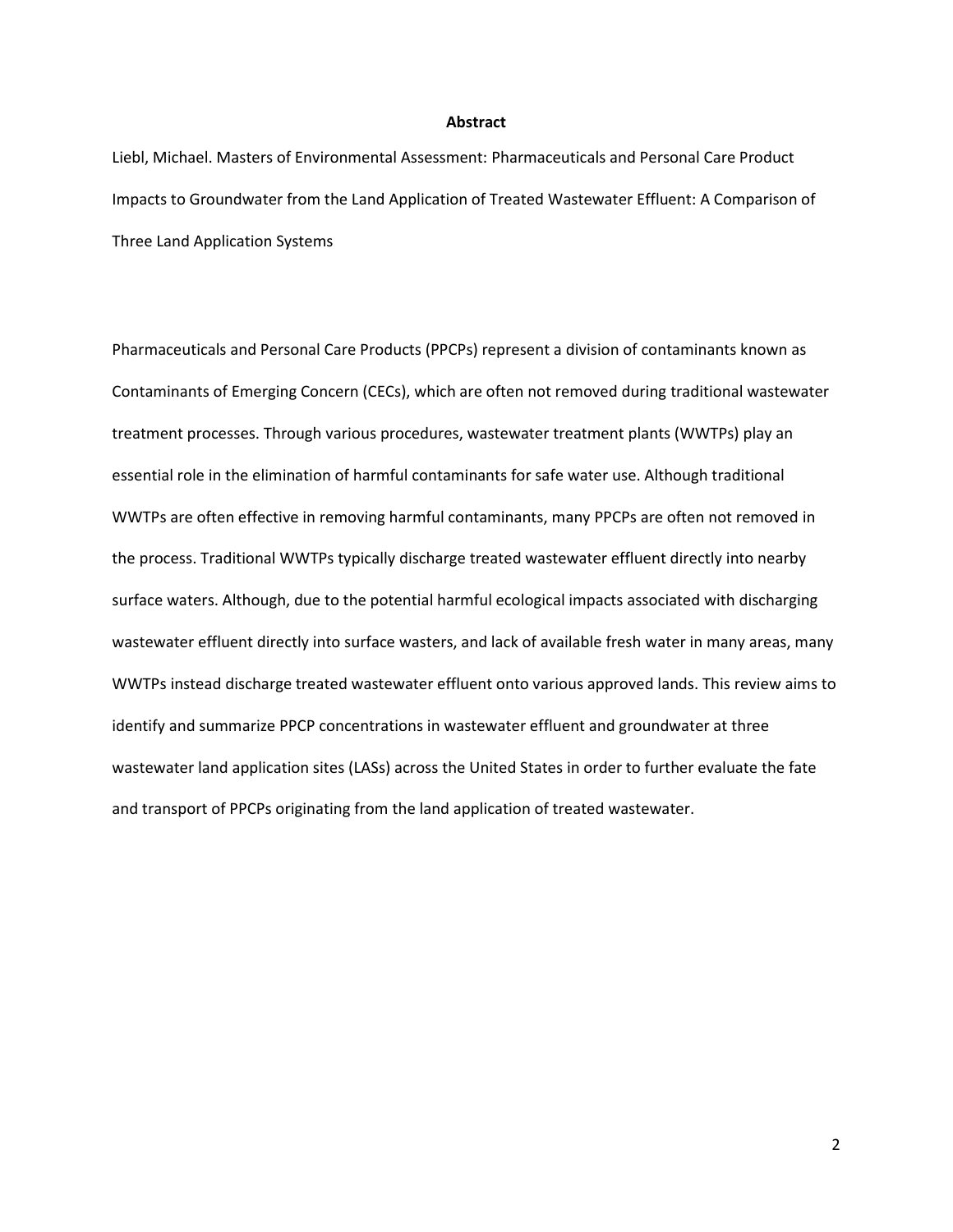#### **Abstract**

Liebl, Michael. Masters of Environmental Assessment: Pharmaceuticals and Personal Care Product Impacts to Groundwater from the Land Application of Treated Wastewater Effluent: A Comparison of Three Land Application Systems

Pharmaceuticals and Personal Care Products (PPCPs) represent a division of contaminants known as Contaminants of Emerging Concern (CECs), which are often not removed during traditional wastewater treatment processes. Through various procedures, wastewater treatment plants (WWTPs) play an essential role in the elimination of harmful contaminants for safe water use. Although traditional WWTPs are often effective in removing harmful contaminants, many PPCPs are often not removed in the process. Traditional WWTPs typically discharge treated wastewater effluent directly into nearby surface waters. Although, due to the potential harmful ecological impacts associated with discharging wastewater effluent directly into surface wasters, and lack of available fresh water in many areas, many WWTPs instead discharge treated wastewater effluent onto various approved lands. This review aims to identify and summarize PPCP concentrations in wastewater effluent and groundwater at three wastewater land application sites (LASs) across the United States in order to further evaluate the fate and transport of PPCPs originating from the land application of treated wastewater.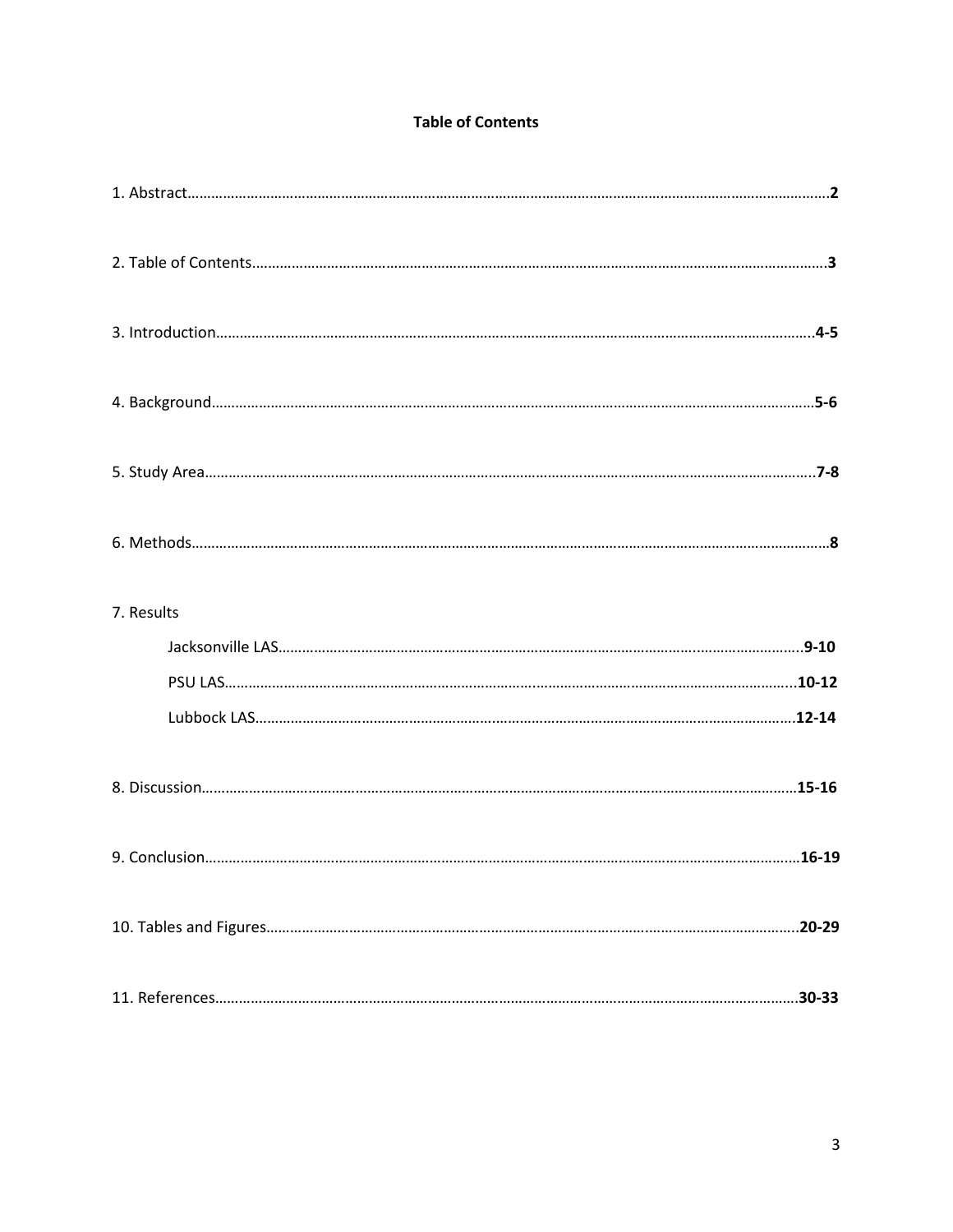# **Table of Contents**

| 7. Results |            |
|------------|------------|
|            |            |
|            |            |
|            |            |
|            |            |
|            |            |
|            | $.20 - 29$ |
|            |            |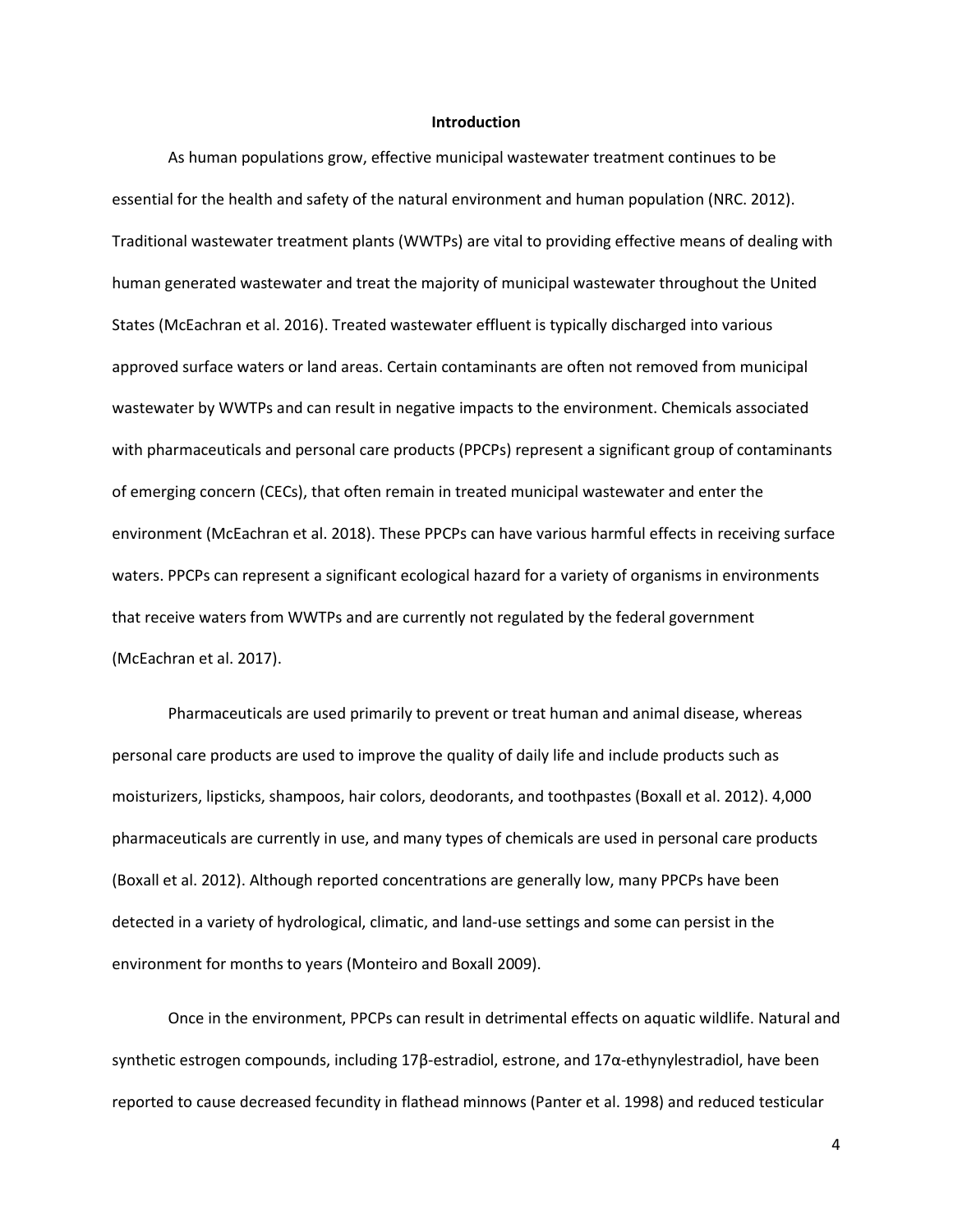#### **Introduction**

As human populations grow, effective municipal wastewater treatment continues to be essential for the health and safety of the natural environment and human population (NRC. 2012). Traditional wastewater treatment plants (WWTPs) are vital to providing effective means of dealing with human generated wastewater and treat the majority of municipal wastewater throughout the United States (McEachran et al. 2016). Treated wastewater effluent is typically discharged into various approved surface waters or land areas. Certain contaminants are often not removed from municipal wastewater by WWTPs and can result in negative impacts to the environment. Chemicals associated with pharmaceuticals and personal care products (PPCPs) represent a significant group of contaminants of emerging concern (CECs), that often remain in treated municipal wastewater and enter the environment (McEachran et al. 2018). These PPCPs can have various harmful effects in receiving surface waters. PPCPs can represent a significant ecological hazard for a variety of organisms in environments that receive waters from WWTPs and are currently not regulated by the federal government (McEachran et al. 2017).

Pharmaceuticals are used primarily to prevent or treat human and animal disease, whereas personal care products are used to improve the quality of daily life and include products such as moisturizers, lipsticks, shampoos, hair colors, deodorants, and toothpastes (Boxall et al. 2012). 4,000 pharmaceuticals are currently in use, and many types of chemicals are used in personal care products (Boxall et al. 2012). Although reported concentrations are generally low, many PPCPs have been detected in a variety of hydrological, climatic, and land-use settings and some can persist in the environment for months to years (Monteiro and Boxall 2009).

Once in the environment, PPCPs can result in detrimental effects on aquatic wildlife. Natural and synthetic estrogen compounds, including 17β-estradiol, estrone, and 17α-ethynylestradiol, have been reported to cause decreased fecundity in flathead minnows (Panter et al. 1998) and reduced testicular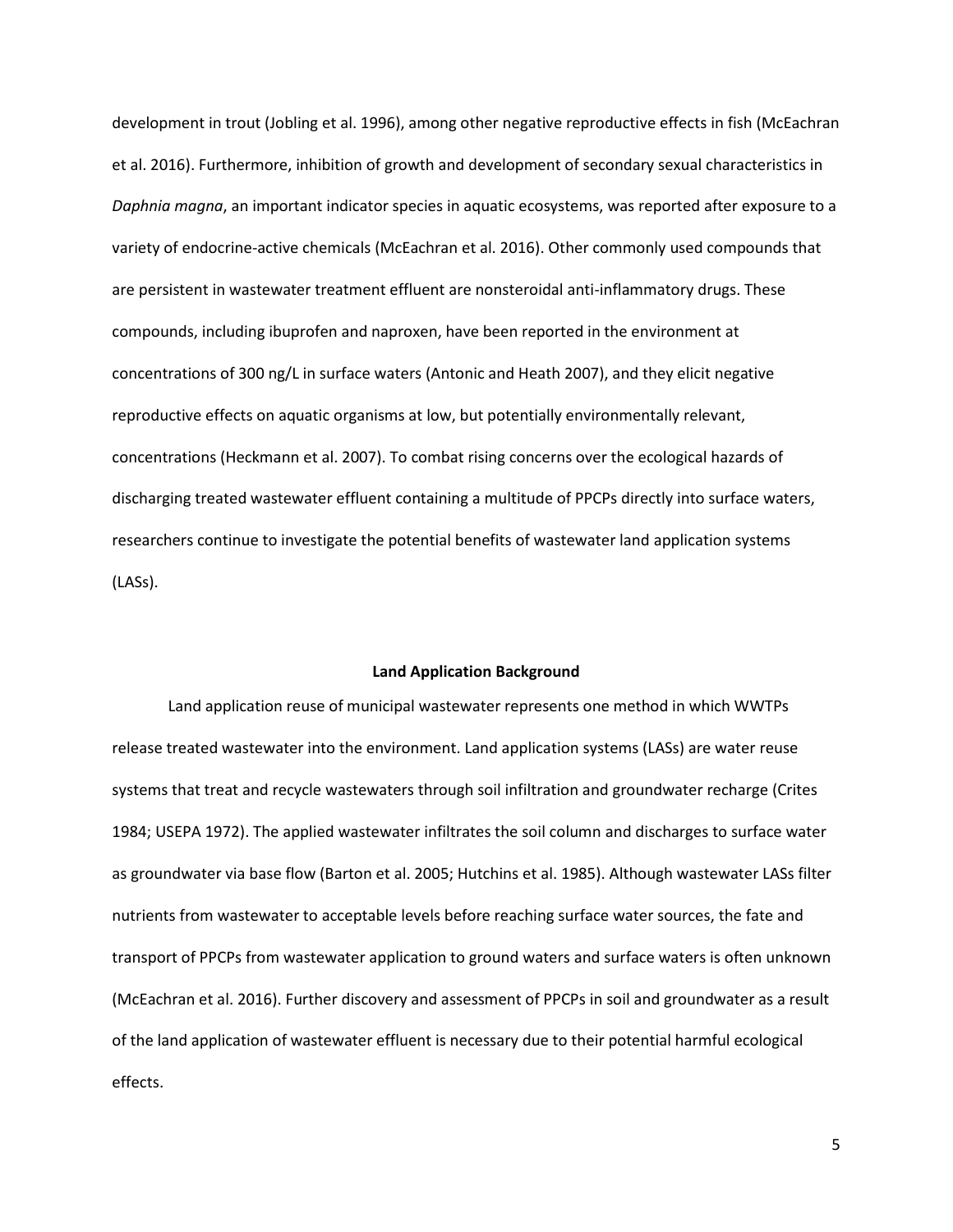development in trout (Jobling et al. 1996), among other negative reproductive effects in fish (McEachran et al. 2016). Furthermore, inhibition of growth and development of secondary sexual characteristics in *Daphnia magna*, an important indicator species in aquatic ecosystems, was reported after exposure to a variety of endocrine-active chemicals (McEachran et al. 2016). Other commonly used compounds that are persistent in wastewater treatment effluent are nonsteroidal anti-inflammatory drugs. These compounds, including ibuprofen and naproxen, have been reported in the environment at concentrations of 300 ng/L in surface waters (Antonic and Heath 2007), and they elicit negative reproductive effects on aquatic organisms at low, but potentially environmentally relevant, concentrations (Heckmann et al. 2007). To combat rising concerns over the ecological hazards of discharging treated wastewater effluent containing a multitude of PPCPs directly into surface waters, researchers continue to investigate the potential benefits of wastewater land application systems (LASs).

## **Land Application Background**

Land application reuse of municipal wastewater represents one method in which WWTPs release treated wastewater into the environment. Land application systems (LASs) are water reuse systems that treat and recycle wastewaters through soil infiltration and groundwater recharge (Crites 1984; USEPA 1972). The applied wastewater infiltrates the soil column and discharges to surface water as groundwater via base flow (Barton et al. 2005; Hutchins et al. 1985). Although wastewater LASs filter nutrients from wastewater to acceptable levels before reaching surface water sources, the fate and transport of PPCPs from wastewater application to ground waters and surface waters is often unknown (McEachran et al. 2016). Further discovery and assessment of PPCPs in soil and groundwater as a result of the land application of wastewater effluent is necessary due to their potential harmful ecological effects.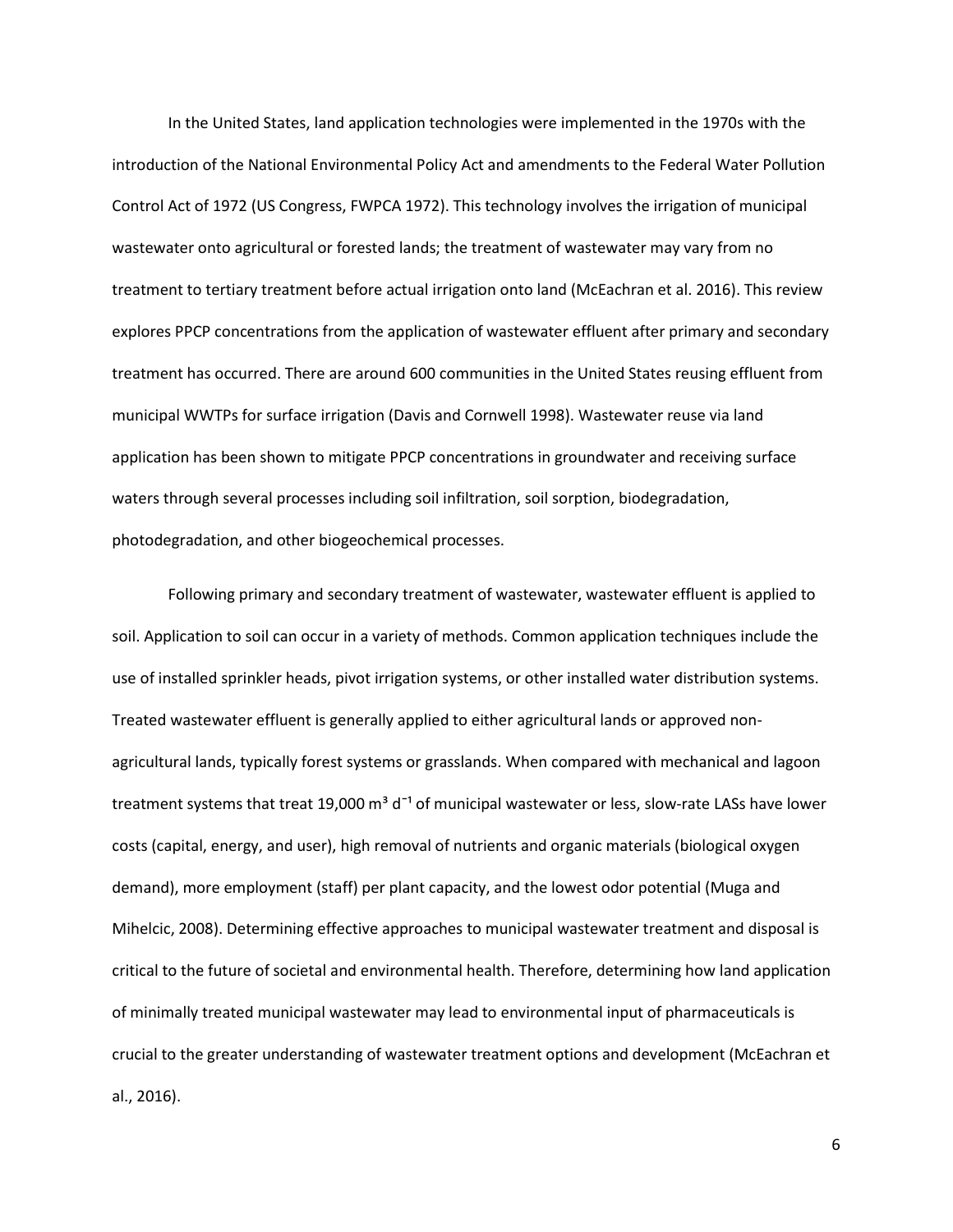In the United States, land application technologies were implemented in the 1970s with the introduction of the National Environmental Policy Act and amendments to the Federal Water Pollution Control Act of 1972 (US Congress, FWPCA 1972). This technology involves the irrigation of municipal wastewater onto agricultural or forested lands; the treatment of wastewater may vary from no treatment to tertiary treatment before actual irrigation onto land (McEachran et al. 2016). This review explores PPCP concentrations from the application of wastewater effluent after primary and secondary treatment has occurred. There are around 600 communities in the United States reusing effluent from municipal WWTPs for surface irrigation (Davis and Cornwell 1998). Wastewater reuse via land application has been shown to mitigate PPCP concentrations in groundwater and receiving surface waters through several processes including soil infiltration, soil sorption, biodegradation, photodegradation, and other biogeochemical processes.

Following primary and secondary treatment of wastewater, wastewater effluent is applied to soil. Application to soil can occur in a variety of methods. Common application techniques include the use of installed sprinkler heads, pivot irrigation systems, or other installed water distribution systems. Treated wastewater effluent is generally applied to either agricultural lands or approved nonagricultural lands, typically forest systems or grasslands. When compared with mechanical and lagoon treatment systems that treat 19,000  $\text{m}^3$  d<sup>-1</sup> of municipal wastewater or less, slow-rate LASs have lower costs (capital, energy, and user), high removal of nutrients and organic materials (biological oxygen demand), more employment (staff) per plant capacity, and the lowest odor potential (Muga and Mihelcic, 2008). Determining effective approaches to municipal wastewater treatment and disposal is critical to the future of societal and environmental health. Therefore, determining how land application of minimally treated municipal wastewater may lead to environmental input of pharmaceuticals is crucial to the greater understanding of wastewater treatment options and development (McEachran et al., 2016).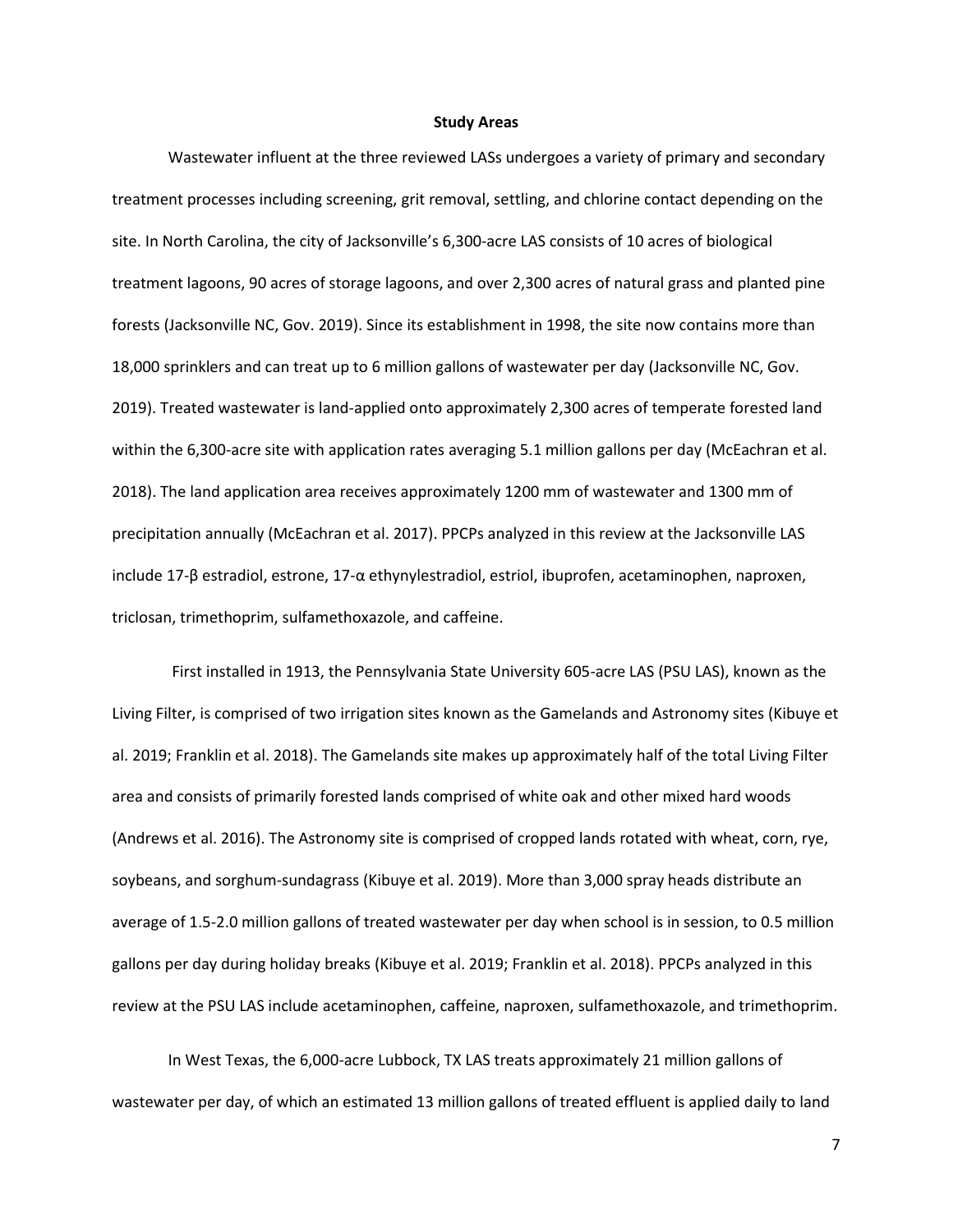#### **Study Areas**

Wastewater influent at the three reviewed LASs undergoes a variety of primary and secondary treatment processes including screening, grit removal, settling, and chlorine contact depending on the site. In North Carolina, the city of Jacksonville's 6,300-acre LAS consists of 10 acres of biological treatment lagoons, 90 acres of storage lagoons, and over 2,300 acres of natural grass and planted pine forests (Jacksonville NC, Gov. 2019). Since its establishment in 1998, the site now contains more than 18,000 sprinklers and can treat up to 6 million gallons of wastewater per day (Jacksonville NC, Gov. 2019). Treated wastewater is land-applied onto approximately 2,300 acres of temperate forested land within the 6,300-acre site with application rates averaging 5.1 million gallons per day (McEachran et al. 2018). The land application area receives approximately 1200 mm of wastewater and 1300 mm of precipitation annually (McEachran et al. 2017). PPCPs analyzed in this review at the Jacksonville LAS include 17-β estradiol, estrone, 17-α ethynylestradiol, estriol, ibuprofen, acetaminophen, naproxen, triclosan, trimethoprim, sulfamethoxazole, and caffeine.

First installed in 1913, the Pennsylvania State University 605-acre LAS (PSU LAS), known as the Living Filter, is comprised of two irrigation sites known as the Gamelands and Astronomy sites (Kibuye et al. 2019; Franklin et al. 2018). The Gamelands site makes up approximately half of the total Living Filter area and consists of primarily forested lands comprised of white oak and other mixed hard woods (Andrews et al. 2016). The Astronomy site is comprised of cropped lands rotated with wheat, corn, rye, soybeans, and sorghum-sundagrass (Kibuye et al. 2019). More than 3,000 spray heads distribute an average of 1.5-2.0 million gallons of treated wastewater per day when school is in session, to 0.5 million gallons per day during holiday breaks (Kibuye et al. 2019; Franklin et al. 2018). PPCPs analyzed in this review at the PSU LAS include acetaminophen, caffeine, naproxen, sulfamethoxazole, and trimethoprim.

In West Texas, the 6,000-acre Lubbock, TX LAS treats approximately 21 million gallons of wastewater per day, of which an estimated 13 million gallons of treated effluent is applied daily to land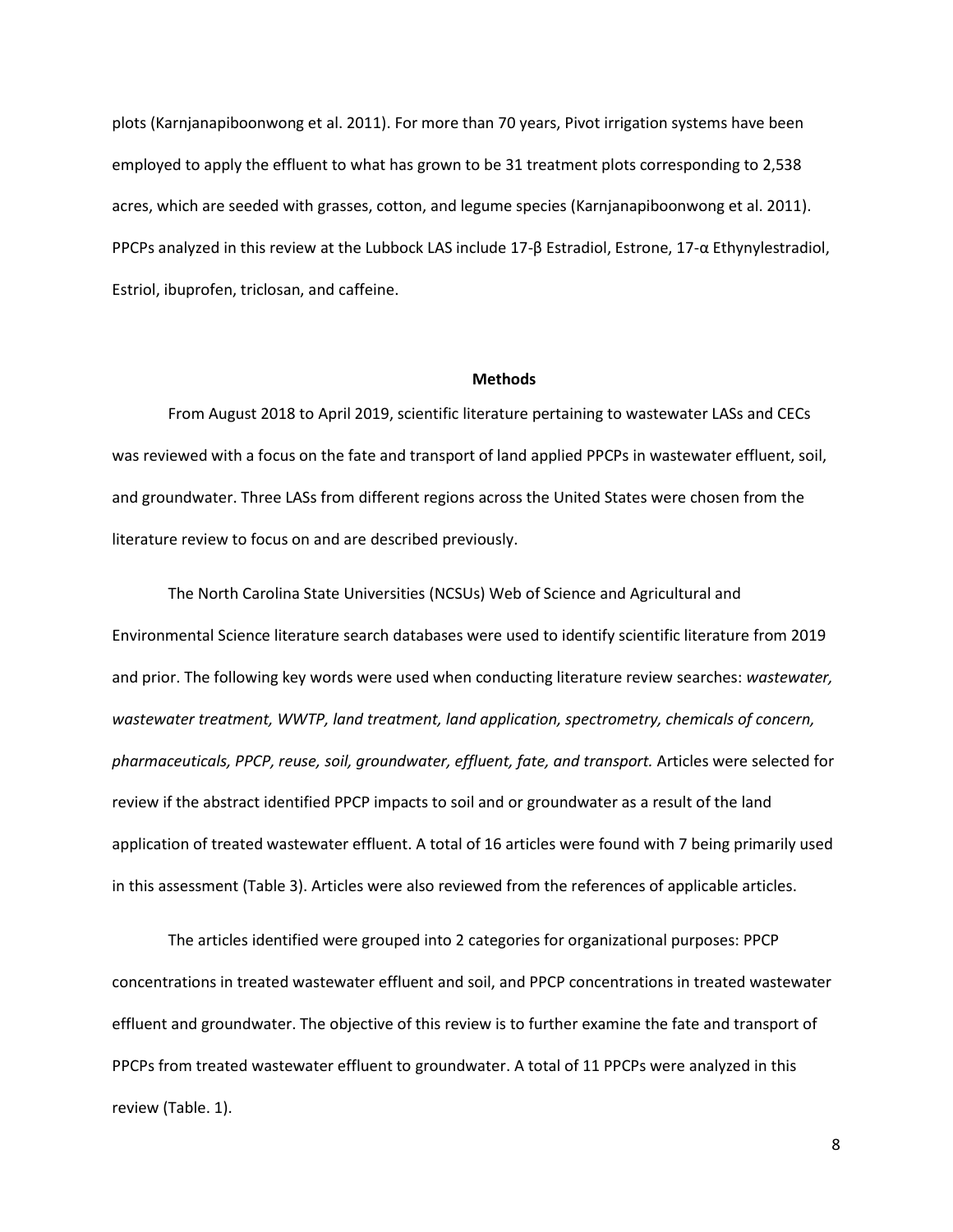plots (Karnjanapiboonwong et al. 2011). For more than 70 years, Pivot irrigation systems have been employed to apply the effluent to what has grown to be 31 treatment plots corresponding to 2,538 acres, which are seeded with grasses, cotton, and legume species (Karnjanapiboonwong et al. 2011). PPCPs analyzed in this review at the Lubbock LAS include 17-β Estradiol, Estrone, 17-α Ethynylestradiol, Estriol, ibuprofen, triclosan, and caffeine.

### **Methods**

From August 2018 to April 2019, scientific literature pertaining to wastewater LASs and CECs was reviewed with a focus on the fate and transport of land applied PPCPs in wastewater effluent, soil, and groundwater. Three LASs from different regions across the United States were chosen from the literature review to focus on and are described previously.

The North Carolina State Universities (NCSUs) Web of Science and Agricultural and Environmental Science literature search databases were used to identify scientific literature from 2019 and prior. The following key words were used when conducting literature review searches: *wastewater, wastewater treatment, WWTP, land treatment, land application, spectrometry, chemicals of concern, pharmaceuticals, PPCP, reuse, soil, groundwater, effluent, fate, and transport.* Articles were selected for review if the abstract identified PPCP impacts to soil and or groundwater as a result of the land application of treated wastewater effluent. A total of 16 articles were found with 7 being primarily used in this assessment (Table 3). Articles were also reviewed from the references of applicable articles.

The articles identified were grouped into 2 categories for organizational purposes: PPCP concentrations in treated wastewater effluent and soil, and PPCP concentrations in treated wastewater effluent and groundwater. The objective of this review is to further examine the fate and transport of PPCPs from treated wastewater effluent to groundwater. A total of 11 PPCPs were analyzed in this review (Table. 1).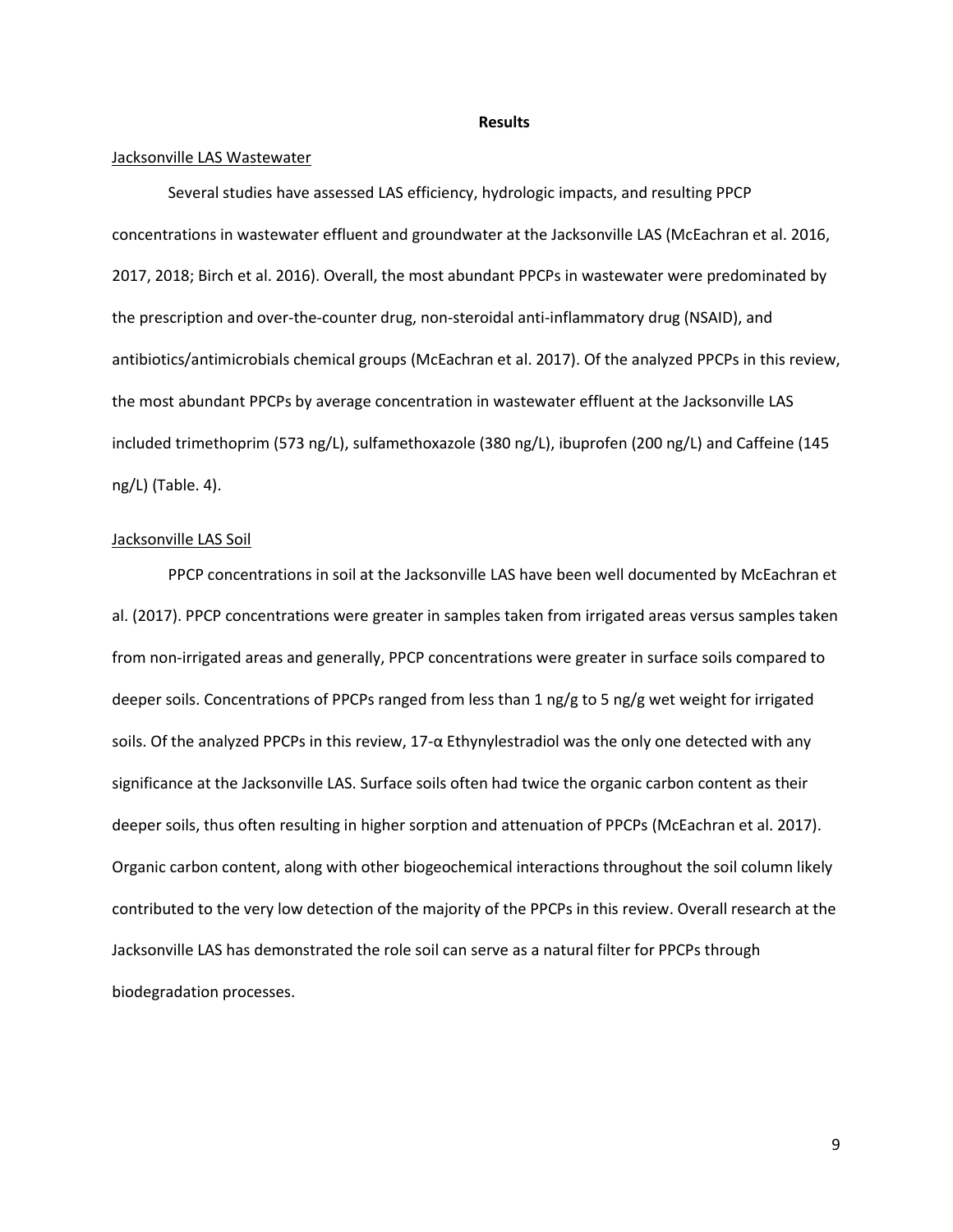#### **Results**

### Jacksonville LAS Wastewater

Several studies have assessed LAS efficiency, hydrologic impacts, and resulting PPCP concentrations in wastewater effluent and groundwater at the Jacksonville LAS (McEachran et al. 2016, 2017, 2018; Birch et al. 2016). Overall, the most abundant PPCPs in wastewater were predominated by the prescription and over-the-counter drug, non-steroidal anti-inflammatory drug (NSAID), and antibiotics/antimicrobials chemical groups (McEachran et al. 2017). Of the analyzed PPCPs in this review, the most abundant PPCPs by average concentration in wastewater effluent at the Jacksonville LAS included trimethoprim (573 ng/L), sulfamethoxazole (380 ng/L), ibuprofen (200 ng/L) and Caffeine (145 ng/L) (Table. 4).

## Jacksonville LAS Soil

PPCP concentrations in soil at the Jacksonville LAS have been well documented by McEachran et al. (2017). PPCP concentrations were greater in samples taken from irrigated areas versus samples taken from non-irrigated areas and generally, PPCP concentrations were greater in surface soils compared to deeper soils. Concentrations of PPCPs ranged from less than 1 ng/g to 5 ng/g wet weight for irrigated soils. Of the analyzed PPCPs in this review, 17-α Ethynylestradiol was the only one detected with any significance at the Jacksonville LAS. Surface soils often had twice the organic carbon content as their deeper soils, thus often resulting in higher sorption and attenuation of PPCPs (McEachran et al. 2017). Organic carbon content, along with other biogeochemical interactions throughout the soil column likely contributed to the very low detection of the majority of the PPCPs in this review. Overall research at the Jacksonville LAS has demonstrated the role soil can serve as a natural filter for PPCPs through biodegradation processes.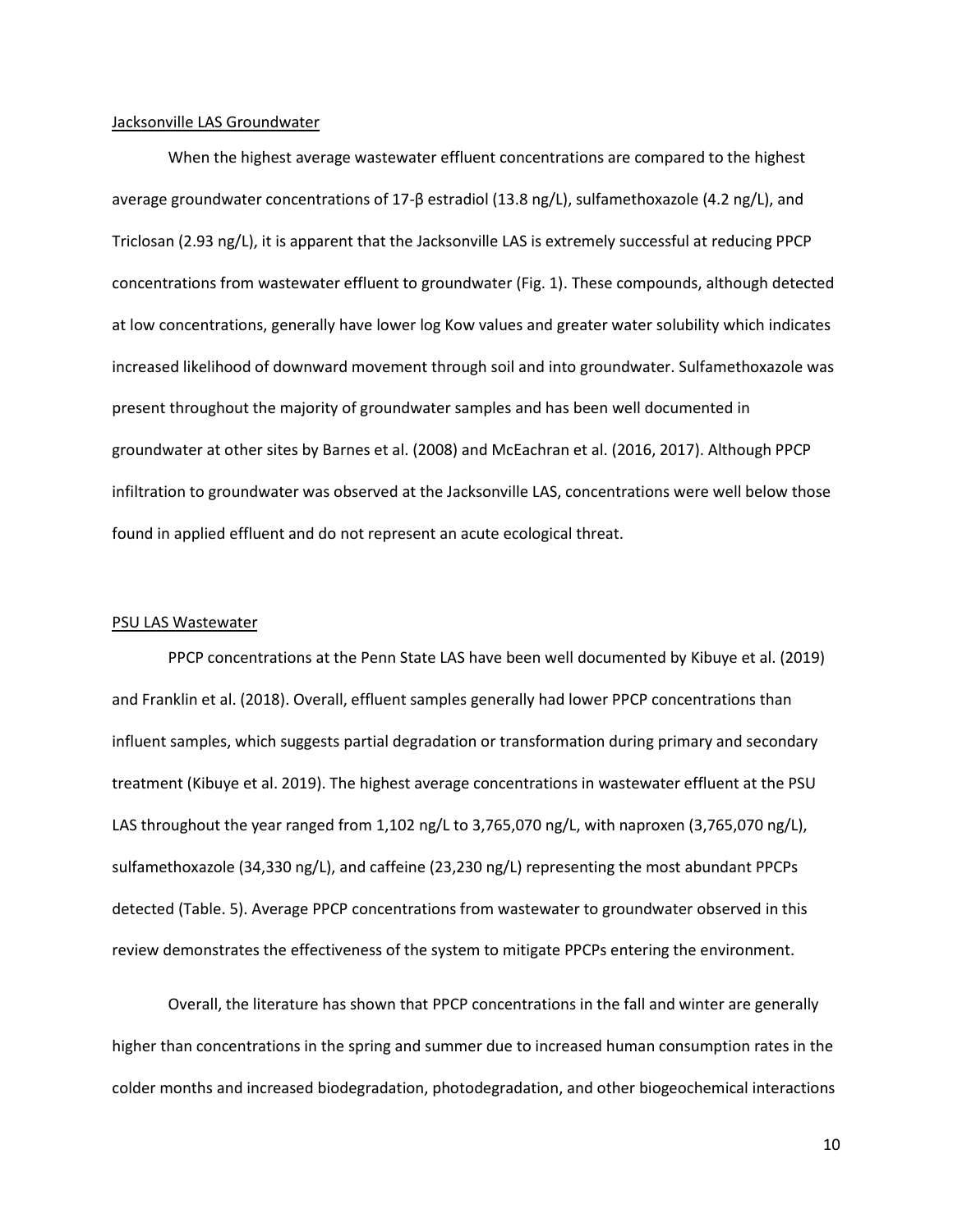#### Jacksonville LAS Groundwater

When the highest average wastewater effluent concentrations are compared to the highest average groundwater concentrations of 17-β estradiol (13.8 ng/L), sulfamethoxazole (4.2 ng/L), and Triclosan (2.93 ng/L), it is apparent that the Jacksonville LAS is extremely successful at reducing PPCP concentrations from wastewater effluent to groundwater (Fig. 1). These compounds, although detected at low concentrations, generally have lower log Kow values and greater water solubility which indicates increased likelihood of downward movement through soil and into groundwater. Sulfamethoxazole was present throughout the majority of groundwater samples and has been well documented in groundwater at other sites by Barnes et al. (2008) and McEachran et al. (2016, 2017). Although PPCP infiltration to groundwater was observed at the Jacksonville LAS, concentrations were well below those found in applied effluent and do not represent an acute ecological threat.

#### PSU LAS Wastewater

PPCP concentrations at the Penn State LAS have been well documented by Kibuye et al. (2019) and Franklin et al. (2018). Overall, effluent samples generally had lower PPCP concentrations than influent samples, which suggests partial degradation or transformation during primary and secondary treatment (Kibuye et al. 2019). The highest average concentrations in wastewater effluent at the PSU LAS throughout the year ranged from 1,102 ng/L to 3,765,070 ng/L, with naproxen (3,765,070 ng/L), sulfamethoxazole (34,330 ng/L), and caffeine (23,230 ng/L) representing the most abundant PPCPs detected (Table. 5). Average PPCP concentrations from wastewater to groundwater observed in this review demonstrates the effectiveness of the system to mitigate PPCPs entering the environment.

Overall, the literature has shown that PPCP concentrations in the fall and winter are generally higher than concentrations in the spring and summer due to increased human consumption rates in the colder months and increased biodegradation, photodegradation, and other biogeochemical interactions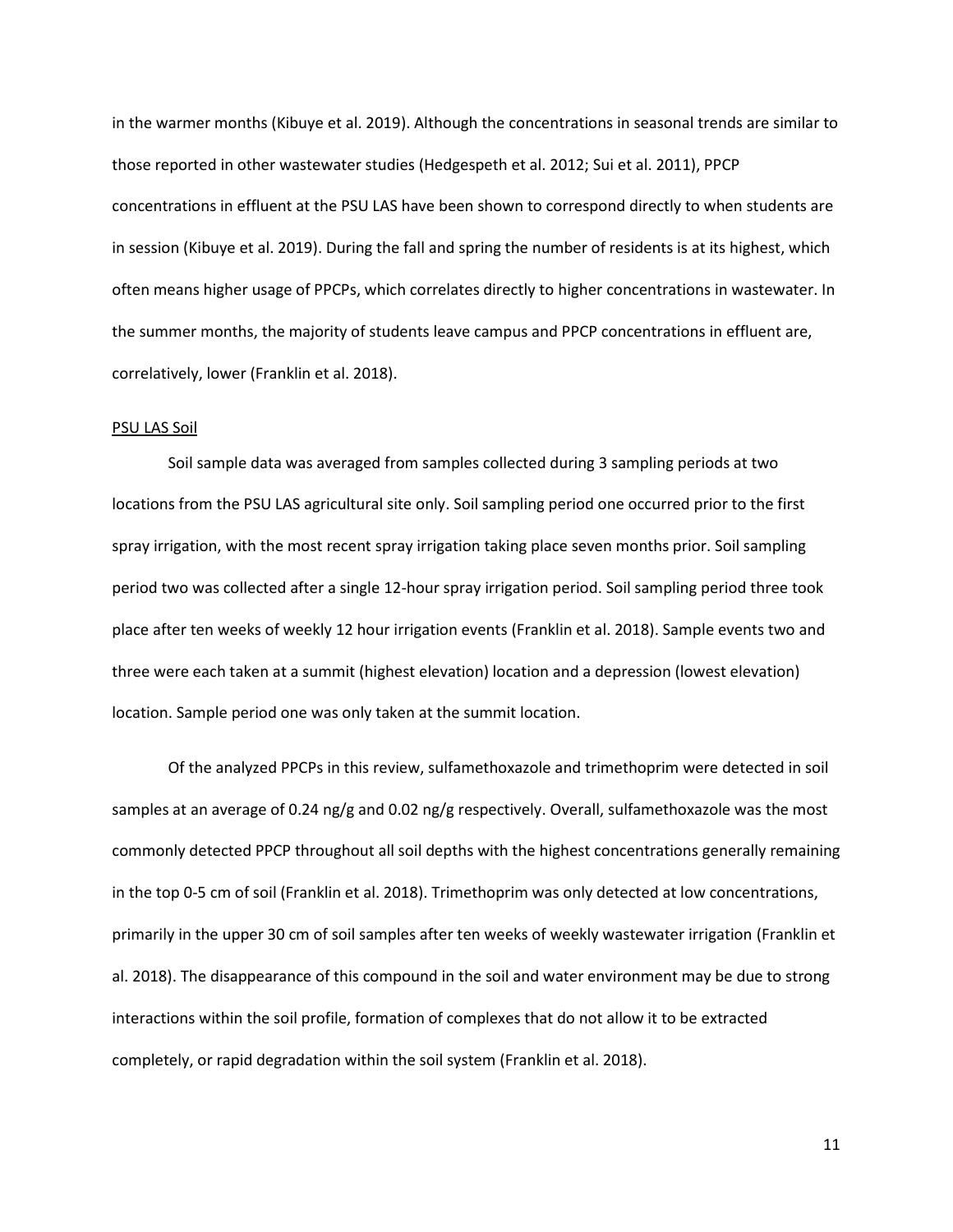in the warmer months (Kibuye et al. 2019). Although the concentrations in seasonal trends are similar to those reported in other wastewater studies (Hedgespeth et al. 2012; Sui et al. 2011), PPCP concentrations in effluent at the PSU LAS have been shown to correspond directly to when students are in session (Kibuye et al. 2019). During the fall and spring the number of residents is at its highest, which often means higher usage of PPCPs, which correlates directly to higher concentrations in wastewater. In the summer months, the majority of students leave campus and PPCP concentrations in effluent are, correlatively, lower (Franklin et al. 2018).

### PSU LAS Soil

Soil sample data was averaged from samples collected during 3 sampling periods at two locations from the PSU LAS agricultural site only. Soil sampling period one occurred prior to the first spray irrigation, with the most recent spray irrigation taking place seven months prior. Soil sampling period two was collected after a single 12-hour spray irrigation period. Soil sampling period three took place after ten weeks of weekly 12 hour irrigation events (Franklin et al. 2018). Sample events two and three were each taken at a summit (highest elevation) location and a depression (lowest elevation) location. Sample period one was only taken at the summit location.

Of the analyzed PPCPs in this review, sulfamethoxazole and trimethoprim were detected in soil samples at an average of 0.24 ng/g and 0.02 ng/g respectively. Overall, sulfamethoxazole was the most commonly detected PPCP throughout all soil depths with the highest concentrations generally remaining in the top 0-5 cm of soil (Franklin et al. 2018). Trimethoprim was only detected at low concentrations, primarily in the upper 30 cm of soil samples after ten weeks of weekly wastewater irrigation (Franklin et al. 2018). The disappearance of this compound in the soil and water environment may be due to strong interactions within the soil profile, formation of complexes that do not allow it to be extracted completely, or rapid degradation within the soil system (Franklin et al. 2018).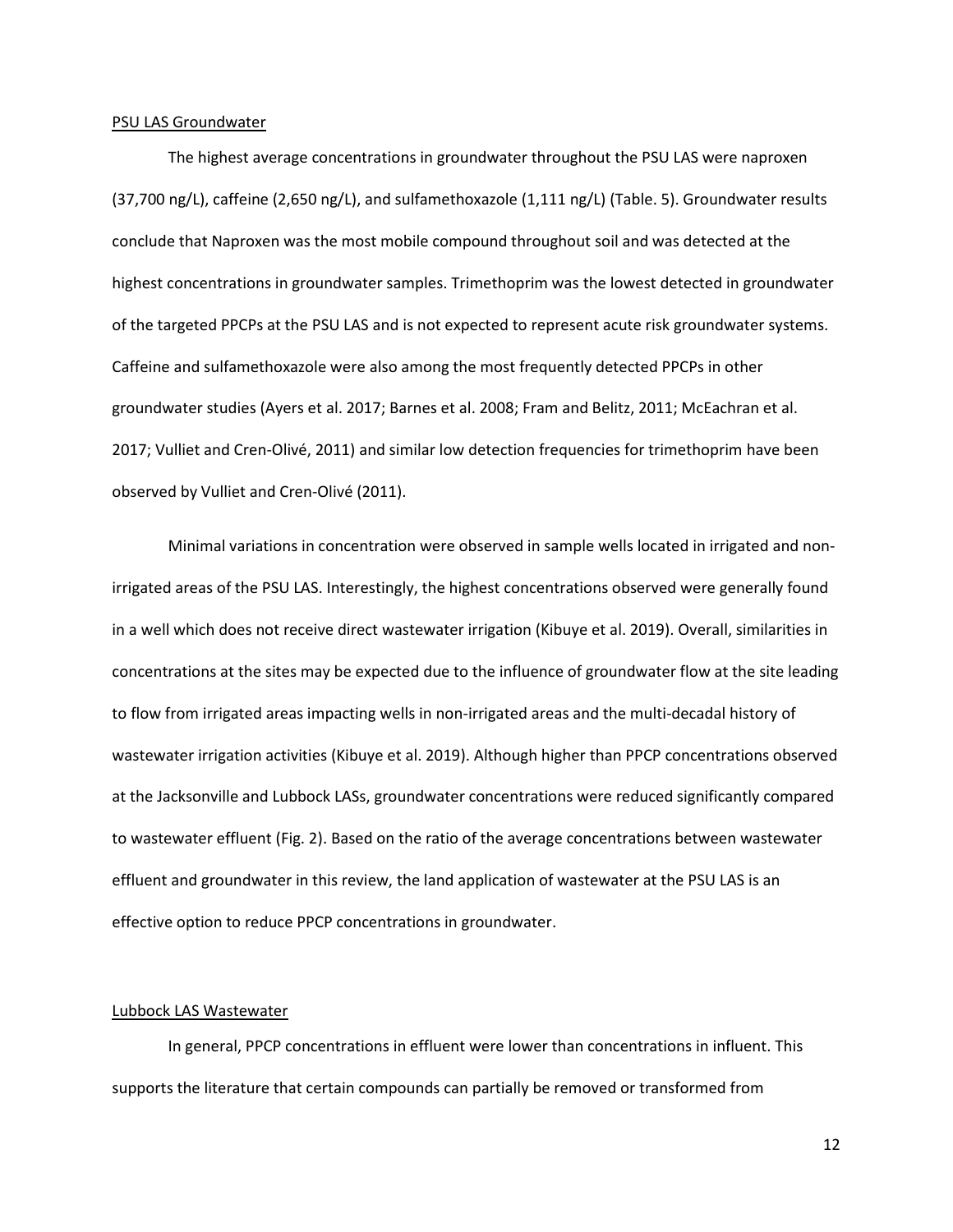#### PSU LAS Groundwater

The highest average concentrations in groundwater throughout the PSU LAS were naproxen (37,700 ng/L), caffeine (2,650 ng/L), and sulfamethoxazole (1,111 ng/L) (Table. 5). Groundwater results conclude that Naproxen was the most mobile compound throughout soil and was detected at the highest concentrations in groundwater samples. Trimethoprim was the lowest detected in groundwater of the targeted PPCPs at the PSU LAS and is not expected to represent acute risk groundwater systems. Caffeine and sulfamethoxazole were also among the most frequently detected PPCPs in other groundwater studies (Ayers et al. 2017; Barnes et al. 2008; Fram and Belitz, 2011; McEachran et al. 2017; Vulliet and Cren-Olivé, 2011) and similar low detection frequencies for trimethoprim have been observed by Vulliet and Cren-Olivé (2011).

Minimal variations in concentration were observed in sample wells located in irrigated and nonirrigated areas of the PSU LAS. Interestingly, the highest concentrations observed were generally found in a well which does not receive direct wastewater irrigation (Kibuye et al. 2019). Overall, similarities in concentrations at the sites may be expected due to the influence of groundwater flow at the site leading to flow from irrigated areas impacting wells in non-irrigated areas and the multi-decadal history of wastewater irrigation activities (Kibuye et al. 2019). Although higher than PPCP concentrations observed at the Jacksonville and Lubbock LASs, groundwater concentrations were reduced significantly compared to wastewater effluent (Fig. 2). Based on the ratio of the average concentrations between wastewater effluent and groundwater in this review, the land application of wastewater at the PSU LAS is an effective option to reduce PPCP concentrations in groundwater.

## Lubbock LAS Wastewater

In general, PPCP concentrations in effluent were lower than concentrations in influent. This supports the literature that certain compounds can partially be removed or transformed from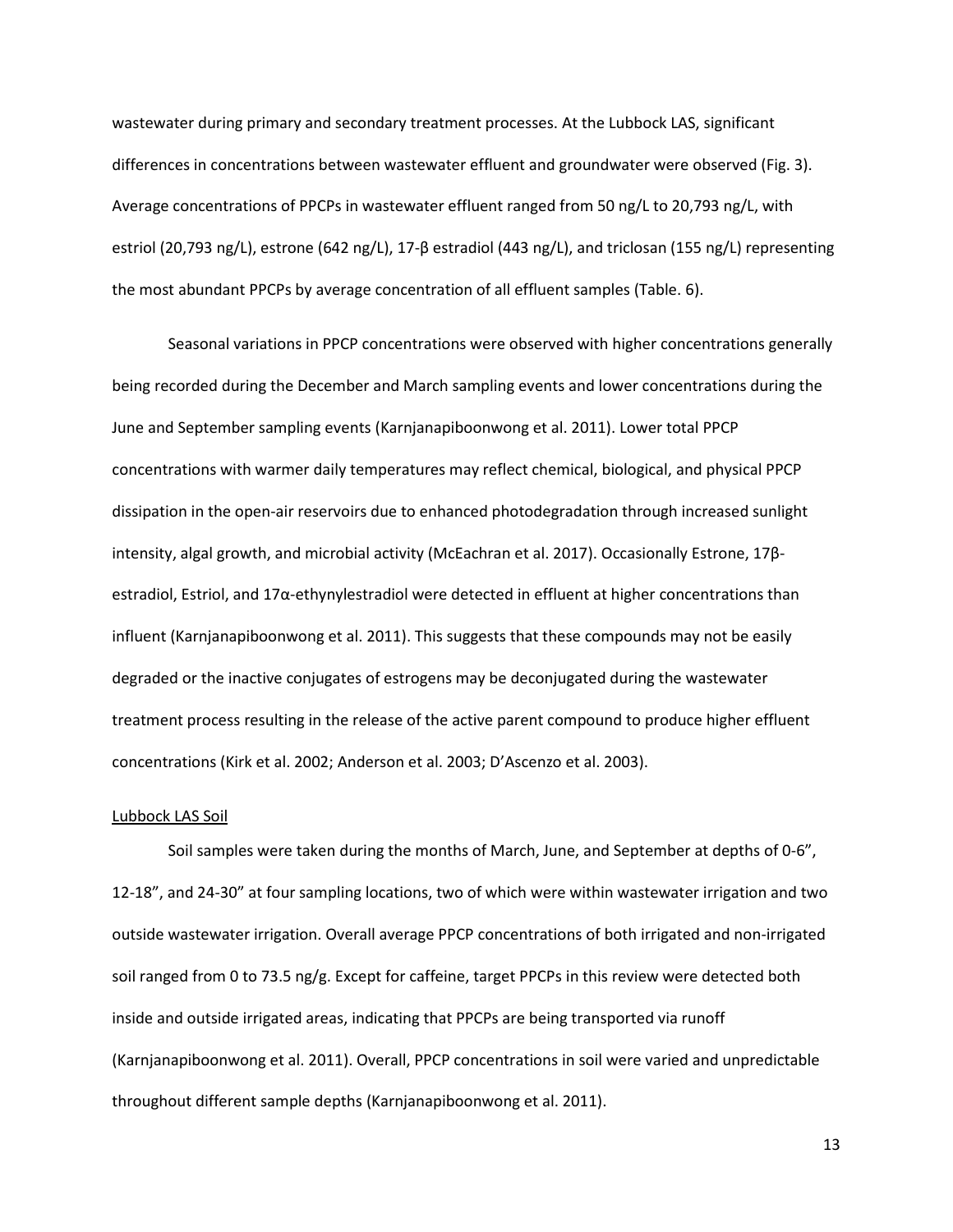wastewater during primary and secondary treatment processes. At the Lubbock LAS, significant differences in concentrations between wastewater effluent and groundwater were observed (Fig. 3). Average concentrations of PPCPs in wastewater effluent ranged from 50 ng/L to 20,793 ng/L, with estriol (20,793 ng/L), estrone (642 ng/L), 17-β estradiol (443 ng/L), and triclosan (155 ng/L) representing the most abundant PPCPs by average concentration of all effluent samples (Table. 6).

Seasonal variations in PPCP concentrations were observed with higher concentrations generally being recorded during the December and March sampling events and lower concentrations during the June and September sampling events (Karnjanapiboonwong et al. 2011). Lower total PPCP concentrations with warmer daily temperatures may reflect chemical, biological, and physical PPCP dissipation in the open-air reservoirs due to enhanced photodegradation through increased sunlight intensity, algal growth, and microbial activity (McEachran et al. 2017). Occasionally Estrone, 17βestradiol, Estriol, and 17α-ethynylestradiol were detected in effluent at higher concentrations than influent (Karnjanapiboonwong et al. 2011). This suggests that these compounds may not be easily degraded or the inactive conjugates of estrogens may be deconjugated during the wastewater treatment process resulting in the release of the active parent compound to produce higher effluent concentrations (Kirk et al. 2002; Anderson et al. 2003; D'Ascenzo et al. 2003).

#### Lubbock LAS Soil

Soil samples were taken during the months of March, June, and September at depths of 0-6", 12-18", and 24-30" at four sampling locations, two of which were within wastewater irrigation and two outside wastewater irrigation. Overall average PPCP concentrations of both irrigated and non-irrigated soil ranged from 0 to 73.5 ng/g. Except for caffeine, target PPCPs in this review were detected both inside and outside irrigated areas, indicating that PPCPs are being transported via runoff (Karnjanapiboonwong et al. 2011). Overall, PPCP concentrations in soil were varied and unpredictable throughout different sample depths (Karnjanapiboonwong et al. 2011).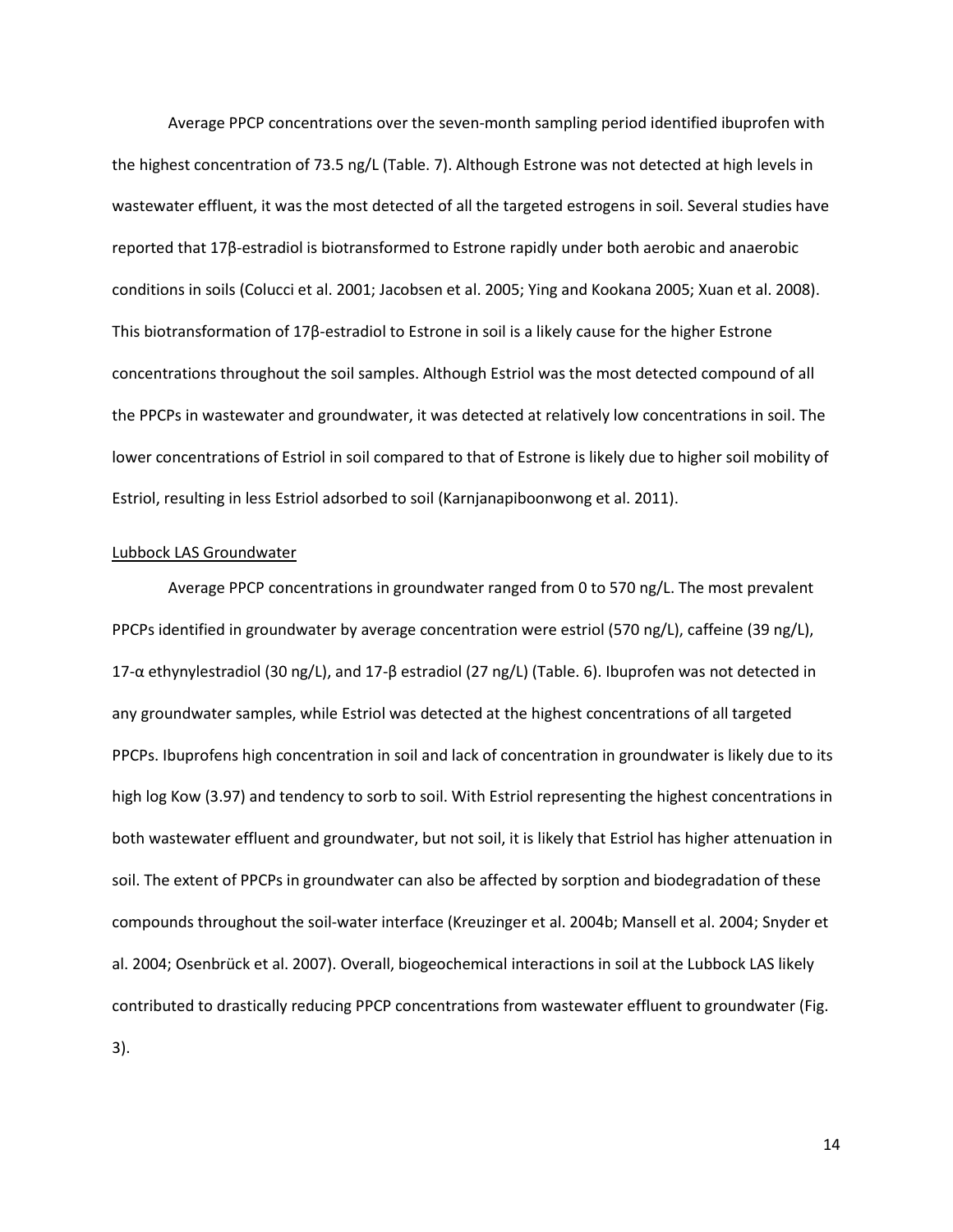Average PPCP concentrations over the seven-month sampling period identified ibuprofen with the highest concentration of 73.5 ng/L (Table. 7). Although Estrone was not detected at high levels in wastewater effluent, it was the most detected of all the targeted estrogens in soil. Several studies have reported that 17β-estradiol is biotransformed to Estrone rapidly under both aerobic and anaerobic conditions in soils (Colucci et al. 2001; Jacobsen et al. 2005; Ying and Kookana 2005; Xuan et al. 2008). This biotransformation of 17β-estradiol to Estrone in soil is a likely cause for the higher Estrone concentrations throughout the soil samples. Although Estriol was the most detected compound of all the PPCPs in wastewater and groundwater, it was detected at relatively low concentrations in soil. The lower concentrations of Estriol in soil compared to that of Estrone is likely due to higher soil mobility of Estriol, resulting in less Estriol adsorbed to soil (Karnjanapiboonwong et al. 2011).

#### Lubbock LAS Groundwater

Average PPCP concentrations in groundwater ranged from 0 to 570 ng/L. The most prevalent PPCPs identified in groundwater by average concentration were estriol (570 ng/L), caffeine (39 ng/L), 17-α ethynylestradiol (30 ng/L), and 17-β estradiol (27 ng/L) (Table. 6). Ibuprofen was not detected in any groundwater samples, while Estriol was detected at the highest concentrations of all targeted PPCPs. Ibuprofens high concentration in soil and lack of concentration in groundwater is likely due to its high log Kow (3.97) and tendency to sorb to soil. With Estriol representing the highest concentrations in both wastewater effluent and groundwater, but not soil, it is likely that Estriol has higher attenuation in soil. The extent of PPCPs in groundwater can also be affected by sorption and biodegradation of these compounds throughout the soil-water interface (Kreuzinger et al. 2004b; Mansell et al. 2004; Snyder et al. 2004; Osenbrück et al. 2007). Overall, biogeochemical interactions in soil at the Lubbock LAS likely contributed to drastically reducing PPCP concentrations from wastewater effluent to groundwater (Fig. 3).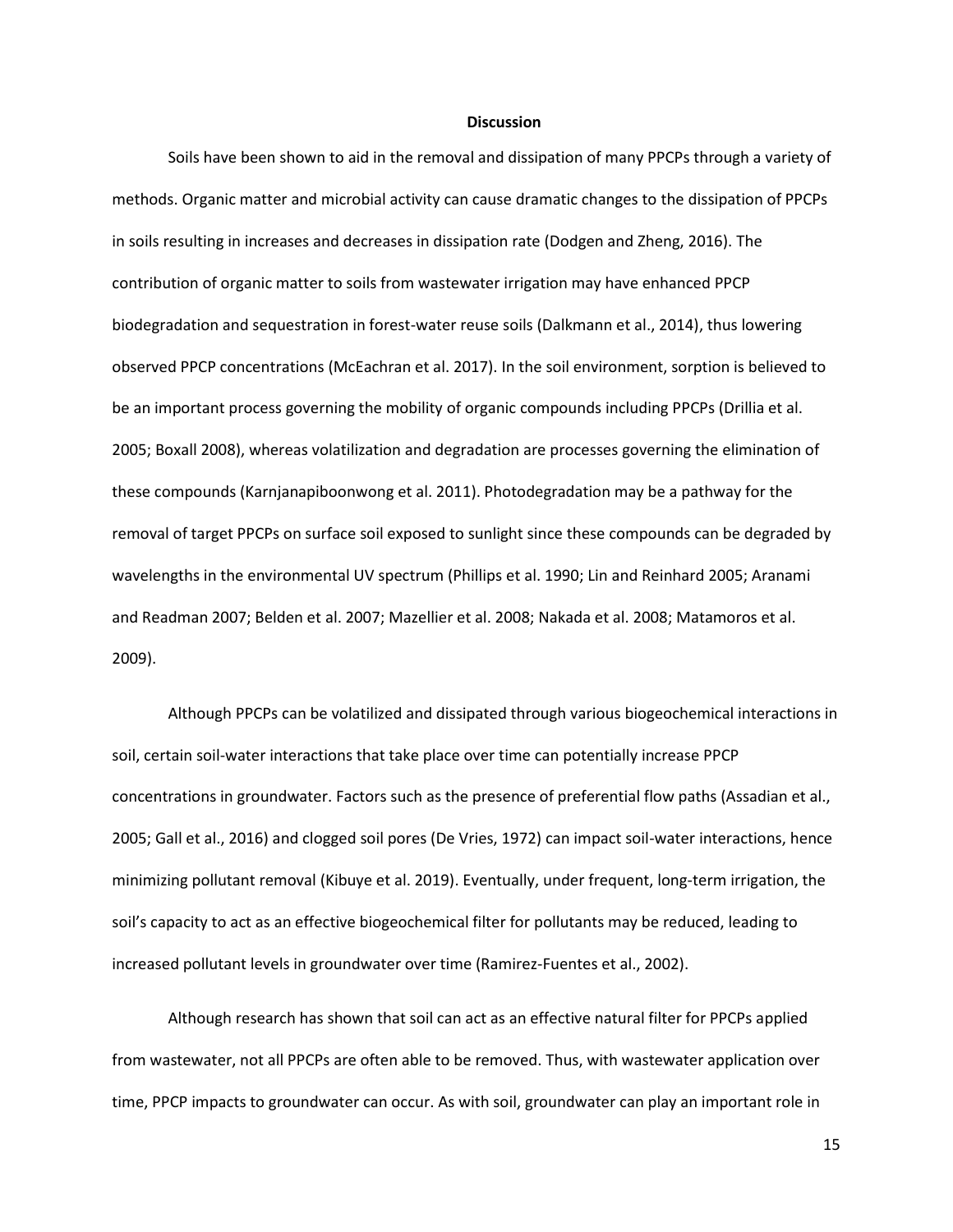#### **Discussion**

Soils have been shown to aid in the removal and dissipation of many PPCPs through a variety of methods. Organic matter and microbial activity can cause dramatic changes to the dissipation of PPCPs in soils resulting in increases and decreases in dissipation rate (Dodgen and Zheng, 2016). The contribution of organic matter to soils from wastewater irrigation may have enhanced PPCP biodegradation and sequestration in forest-water reuse soils (Dalkmann et al., 2014), thus lowering observed PPCP concentrations (McEachran et al. 2017). In the soil environment, sorption is believed to be an important process governing the mobility of organic compounds including PPCPs (Drillia et al. 2005; Boxall 2008), whereas volatilization and degradation are processes governing the elimination of these compounds (Karnjanapiboonwong et al. 2011). Photodegradation may be a pathway for the removal of target PPCPs on surface soil exposed to sunlight since these compounds can be degraded by wavelengths in the environmental UV spectrum (Phillips et al. 1990; Lin and Reinhard 2005; Aranami and Readman 2007; Belden et al. 2007; Mazellier et al. 2008; Nakada et al. 2008; Matamoros et al. 2009).

Although PPCPs can be volatilized and dissipated through various biogeochemical interactions in soil, certain soil-water interactions that take place over time can potentially increase PPCP concentrations in groundwater. Factors such as the presence of preferential flow paths (Assadian et al., 2005; Gall et al., 2016) and clogged soil pores (De Vries, 1972) can impact soil-water interactions, hence minimizing pollutant removal (Kibuye et al. 2019). Eventually, under frequent, long-term irrigation, the soil's capacity to act as an effective biogeochemical filter for pollutants may be reduced, leading to increased pollutant levels in groundwater over time (Ramirez-Fuentes et al., 2002).

Although research has shown that soil can act as an effective natural filter for PPCPs applied from wastewater, not all PPCPs are often able to be removed. Thus, with wastewater application over time, PPCP impacts to groundwater can occur. As with soil, groundwater can play an important role in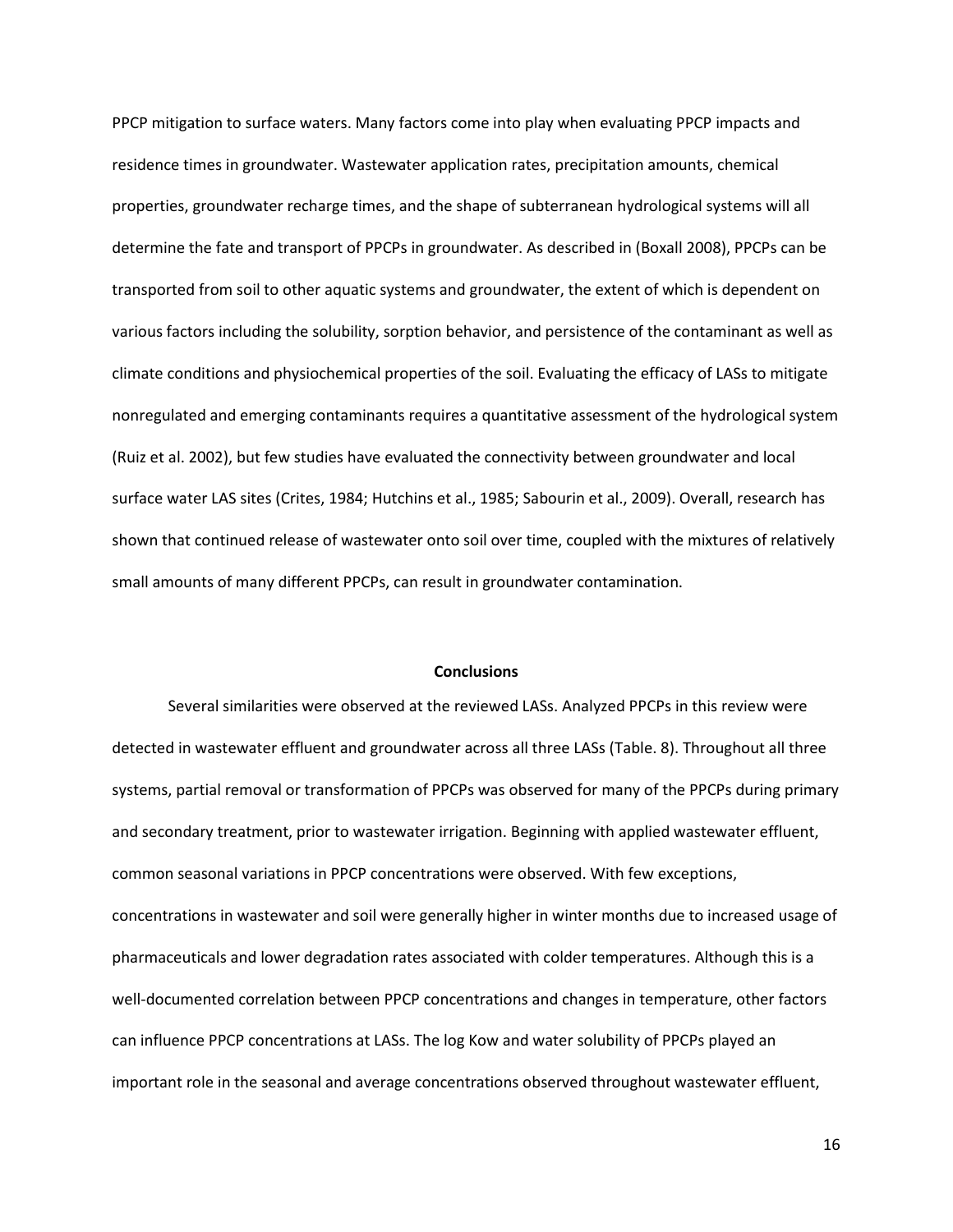PPCP mitigation to surface waters. Many factors come into play when evaluating PPCP impacts and residence times in groundwater. Wastewater application rates, precipitation amounts, chemical properties, groundwater recharge times, and the shape of subterranean hydrological systems will all determine the fate and transport of PPCPs in groundwater. As described in (Boxall 2008), PPCPs can be transported from soil to other aquatic systems and groundwater, the extent of which is dependent on various factors including the solubility, sorption behavior, and persistence of the contaminant as well as climate conditions and physiochemical properties of the soil. Evaluating the efficacy of LASs to mitigate nonregulated and emerging contaminants requires a quantitative assessment of the hydrological system (Ruiz et al. 2002), but few studies have evaluated the connectivity between groundwater and local surface water LAS sites (Crites, 1984; Hutchins et al., 1985; Sabourin et al., 2009). Overall, research has shown that continued release of wastewater onto soil over time, coupled with the mixtures of relatively small amounts of many different PPCPs, can result in groundwater contamination.

#### **Conclusions**

Several similarities were observed at the reviewed LASs. Analyzed PPCPs in this review were detected in wastewater effluent and groundwater across all three LASs (Table. 8). Throughout all three systems, partial removal or transformation of PPCPs was observed for many of the PPCPs during primary and secondary treatment, prior to wastewater irrigation. Beginning with applied wastewater effluent, common seasonal variations in PPCP concentrations were observed. With few exceptions, concentrations in wastewater and soil were generally higher in winter months due to increased usage of pharmaceuticals and lower degradation rates associated with colder temperatures. Although this is a well-documented correlation between PPCP concentrations and changes in temperature, other factors can influence PPCP concentrations at LASs. The log Kow and water solubility of PPCPs played an important role in the seasonal and average concentrations observed throughout wastewater effluent,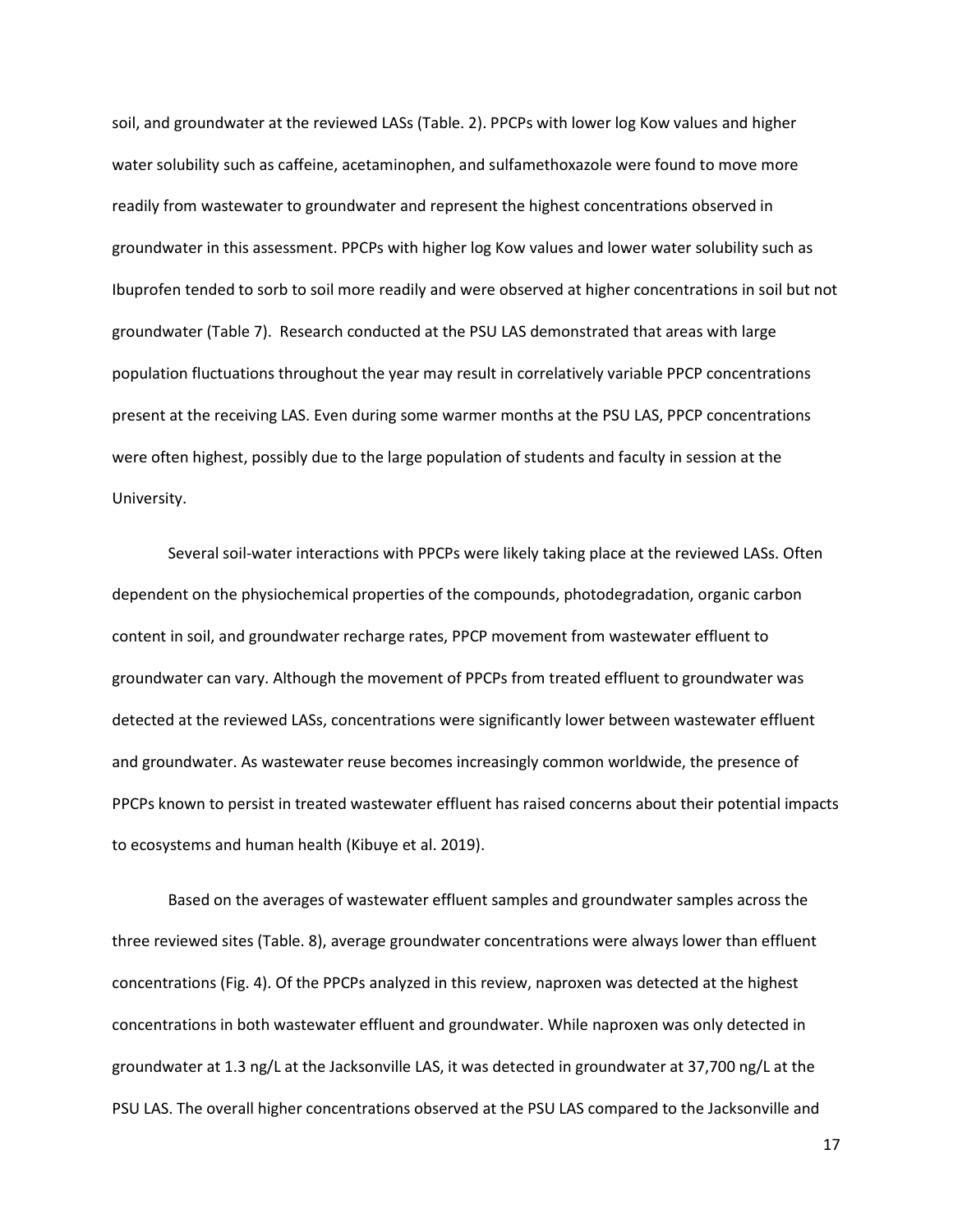soil, and groundwater at the reviewed LASs (Table. 2). PPCPs with lower log Kow values and higher water solubility such as caffeine, acetaminophen, and sulfamethoxazole were found to move more readily from wastewater to groundwater and represent the highest concentrations observed in groundwater in this assessment. PPCPs with higher log Kow values and lower water solubility such as Ibuprofen tended to sorb to soil more readily and were observed at higher concentrations in soil but not groundwater (Table 7). Research conducted at the PSU LAS demonstrated that areas with large population fluctuations throughout the year may result in correlatively variable PPCP concentrations present at the receiving LAS. Even during some warmer months at the PSU LAS, PPCP concentrations were often highest, possibly due to the large population of students and faculty in session at the University.

Several soil-water interactions with PPCPs were likely taking place at the reviewed LASs. Often dependent on the physiochemical properties of the compounds, photodegradation, organic carbon content in soil, and groundwater recharge rates, PPCP movement from wastewater effluent to groundwater can vary. Although the movement of PPCPs from treated effluent to groundwater was detected at the reviewed LASs, concentrations were significantly lower between wastewater effluent and groundwater. As wastewater reuse becomes increasingly common worldwide, the presence of PPCPs known to persist in treated wastewater effluent has raised concerns about their potential impacts to ecosystems and human health (Kibuye et al. 2019).

Based on the averages of wastewater effluent samples and groundwater samples across the three reviewed sites (Table. 8), average groundwater concentrations were always lower than effluent concentrations (Fig. 4). Of the PPCPs analyzed in this review, naproxen was detected at the highest concentrations in both wastewater effluent and groundwater. While naproxen was only detected in groundwater at 1.3 ng/L at the Jacksonville LAS, it was detected in groundwater at 37,700 ng/L at the PSU LAS. The overall higher concentrations observed at the PSU LAS compared to the Jacksonville and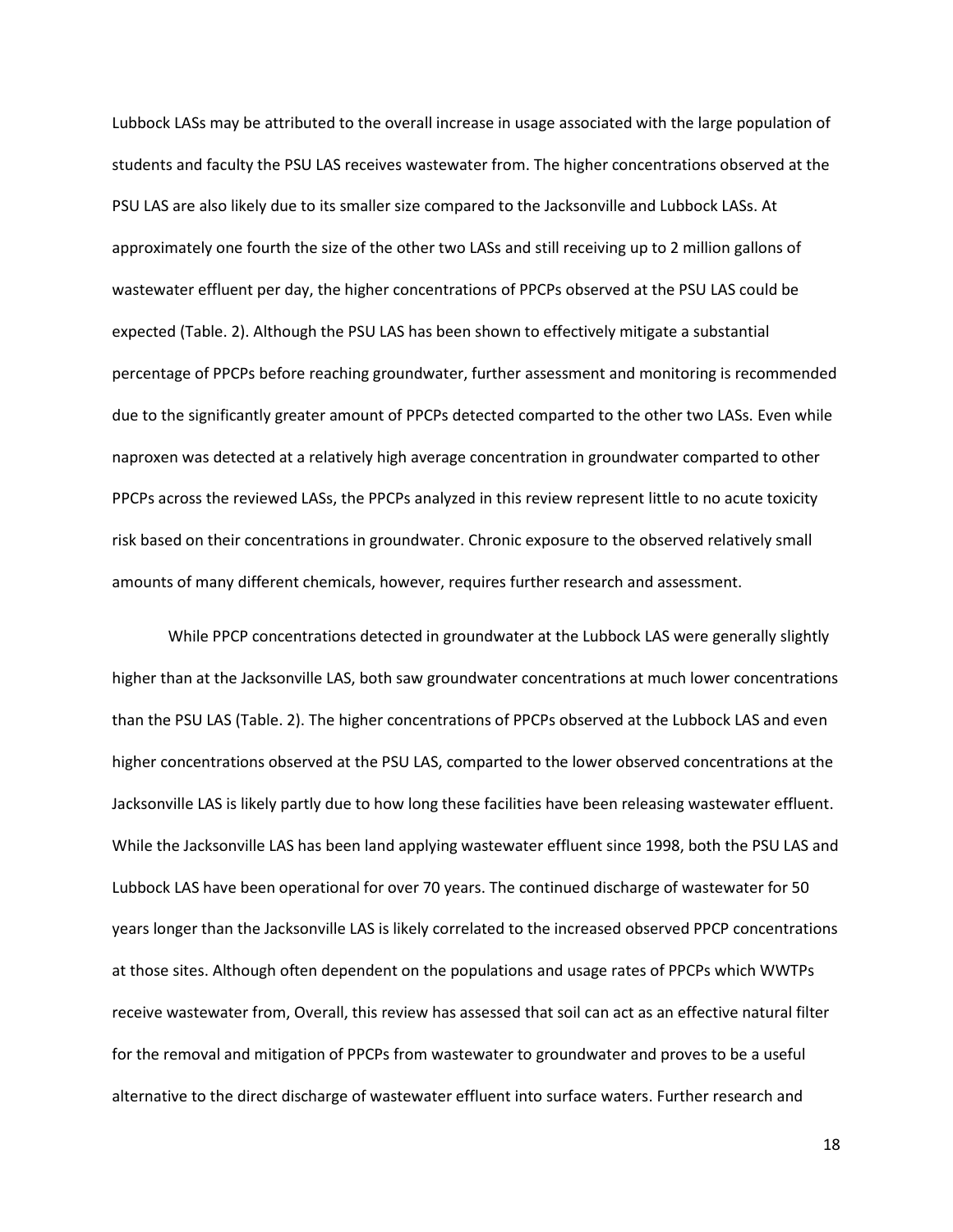Lubbock LASs may be attributed to the overall increase in usage associated with the large population of students and faculty the PSU LAS receives wastewater from. The higher concentrations observed at the PSU LAS are also likely due to its smaller size compared to the Jacksonville and Lubbock LASs. At approximately one fourth the size of the other two LASs and still receiving up to 2 million gallons of wastewater effluent per day, the higher concentrations of PPCPs observed at the PSU LAS could be expected (Table. 2). Although the PSU LAS has been shown to effectively mitigate a substantial percentage of PPCPs before reaching groundwater, further assessment and monitoring is recommended due to the significantly greater amount of PPCPs detected comparted to the other two LASs. Even while naproxen was detected at a relatively high average concentration in groundwater comparted to other PPCPs across the reviewed LASs, the PPCPs analyzed in this review represent little to no acute toxicity risk based on their concentrations in groundwater. Chronic exposure to the observed relatively small amounts of many different chemicals, however, requires further research and assessment.

While PPCP concentrations detected in groundwater at the Lubbock LAS were generally slightly higher than at the Jacksonville LAS, both saw groundwater concentrations at much lower concentrations than the PSU LAS (Table. 2). The higher concentrations of PPCPs observed at the Lubbock LAS and even higher concentrations observed at the PSU LAS, comparted to the lower observed concentrations at the Jacksonville LAS is likely partly due to how long these facilities have been releasing wastewater effluent. While the Jacksonville LAS has been land applying wastewater effluent since 1998, both the PSU LAS and Lubbock LAS have been operational for over 70 years. The continued discharge of wastewater for 50 years longer than the Jacksonville LAS is likely correlated to the increased observed PPCP concentrations at those sites. Although often dependent on the populations and usage rates of PPCPs which WWTPs receive wastewater from, Overall, this review has assessed that soil can act as an effective natural filter for the removal and mitigation of PPCPs from wastewater to groundwater and proves to be a useful alternative to the direct discharge of wastewater effluent into surface waters. Further research and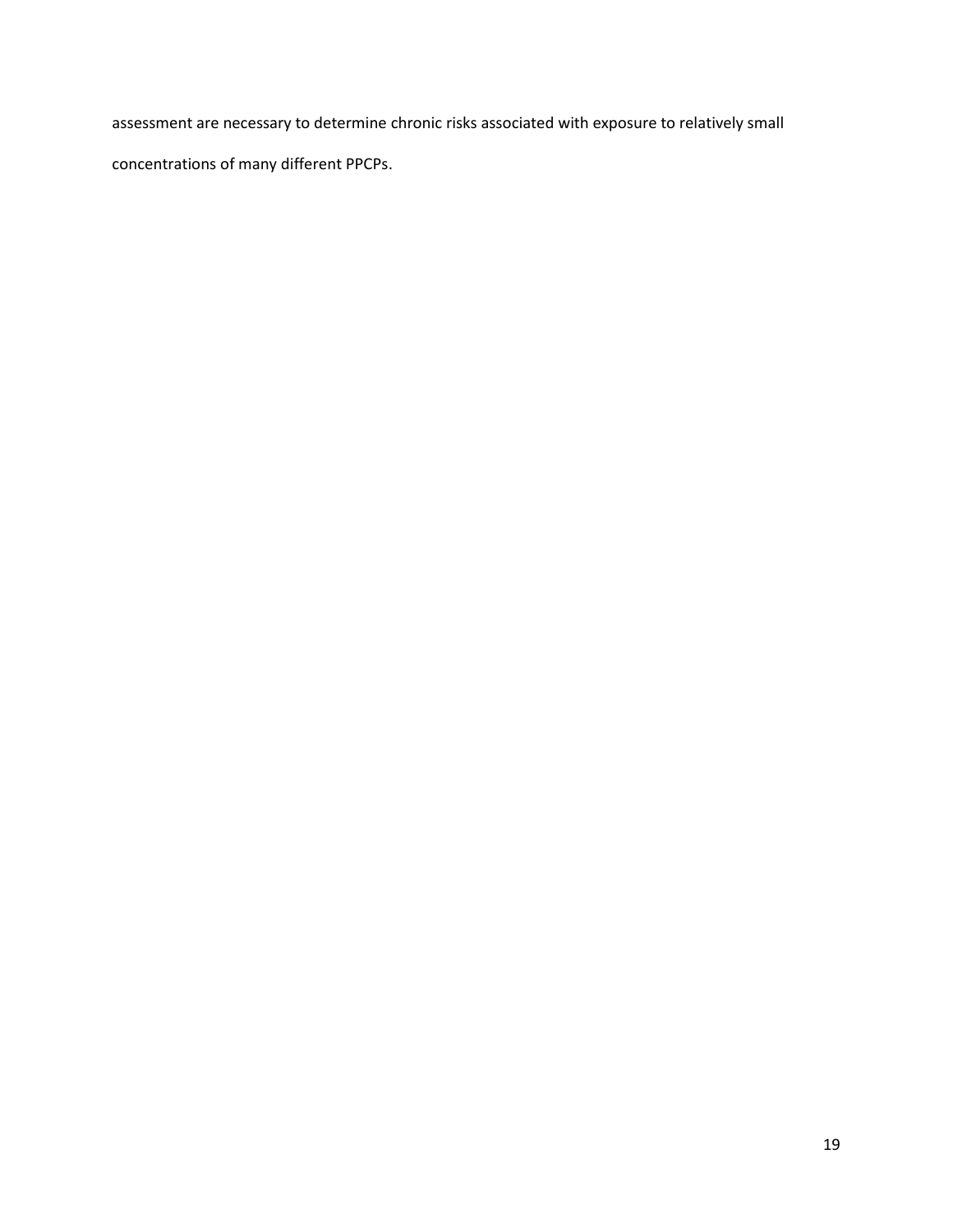assessment are necessary to determine chronic risks associated with exposure to relatively small concentrations of many different PPCPs.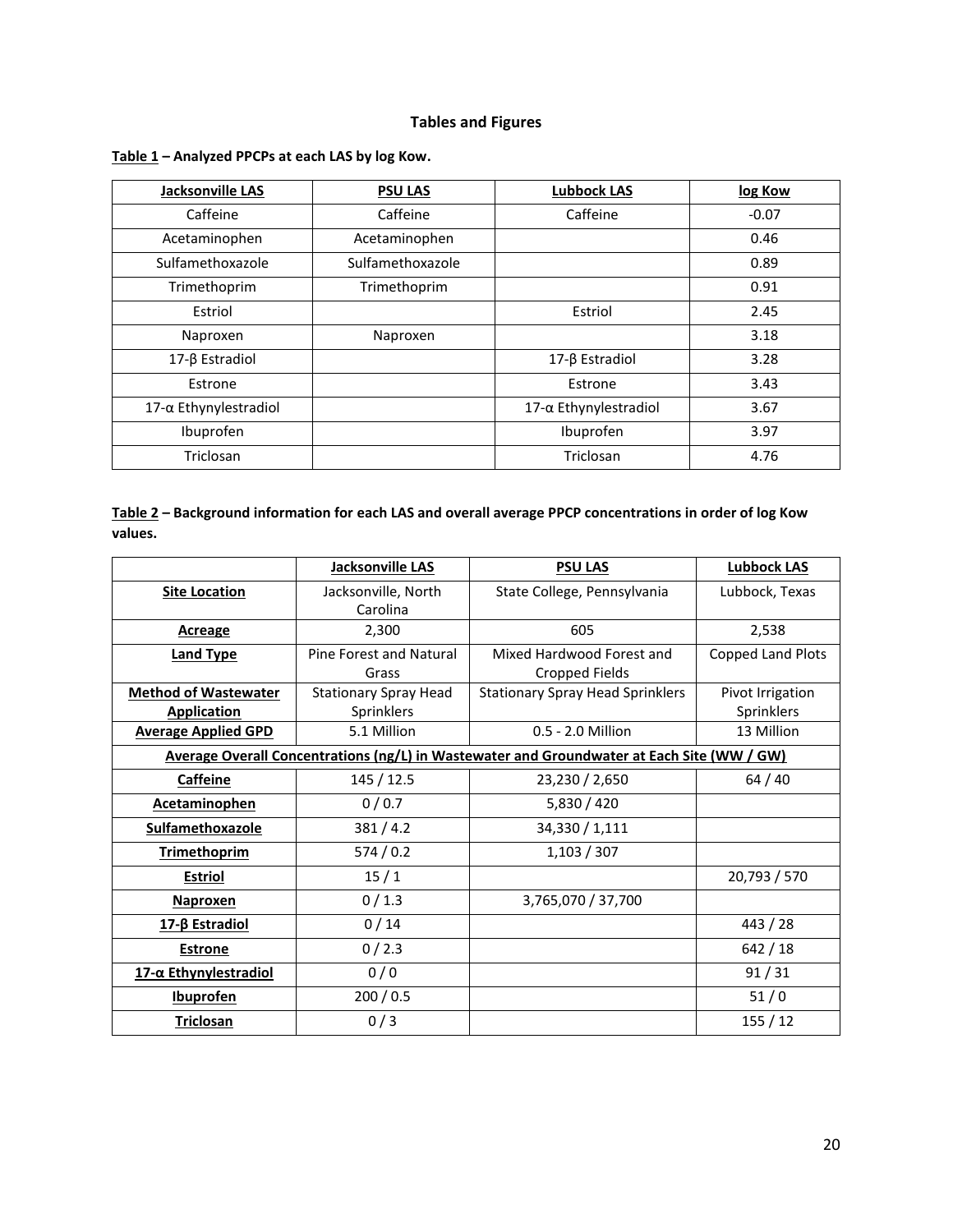# **Tables and Figures**

| Jacksonville LAS      | <b>PSU LAS</b>   | <b>Lubbock LAS</b>           | log Kow |
|-----------------------|------------------|------------------------------|---------|
| Caffeine              | Caffeine         | Caffeine                     | $-0.07$ |
| Acetaminophen         | Acetaminophen    |                              | 0.46    |
| Sulfamethoxazole      | Sulfamethoxazole |                              | 0.89    |
| Trimethoprim          | Trimethoprim     |                              | 0.91    |
| Estriol               |                  | Estriol                      | 2.45    |
| Naproxen              | Naproxen         |                              | 3.18    |
| 17-β Estradiol        |                  | 17-β Estradiol               | 3.28    |
| Estrone               |                  | Estrone                      | 3.43    |
| 17-α Ethynylestradiol |                  | $17-\alpha$ Ethynylestradiol | 3.67    |
| Ibuprofen             |                  | Ibuprofen                    | 3.97    |
| Triclosan             |                  | Triclosan                    | 4.76    |

## **Table 1 – Analyzed PPCPs at each LAS by log Kow.**

## **Table 2 – Background information for each LAS and overall average PPCP concentrations in order of log Kow values.**

|                             | Jacksonville LAS             | <b>PSU LAS</b>                                                                             | <b>Lubbock LAS</b>       |
|-----------------------------|------------------------------|--------------------------------------------------------------------------------------------|--------------------------|
| <b>Site Location</b>        | Jacksonville, North          | State College, Pennsylvania                                                                | Lubbock, Texas           |
|                             | Carolina                     |                                                                                            |                          |
| Acreage                     | 2,300                        | 605                                                                                        | 2,538                    |
| <b>Land Type</b>            | Pine Forest and Natural      | Mixed Hardwood Forest and                                                                  | <b>Copped Land Plots</b> |
|                             | Grass                        | <b>Cropped Fields</b>                                                                      |                          |
| <b>Method of Wastewater</b> | <b>Stationary Spray Head</b> | <b>Stationary Spray Head Sprinklers</b>                                                    | Pivot Irrigation         |
| <b>Application</b>          | Sprinklers                   |                                                                                            | Sprinklers               |
| <b>Average Applied GPD</b>  | 5.1 Million                  | 0.5 - 2.0 Million                                                                          | 13 Million               |
|                             |                              | Average Overall Concentrations (ng/L) in Wastewater and Groundwater at Each Site (WW / GW) |                          |
| <b>Caffeine</b>             | 145 / 12.5                   | 23,230 / 2,650                                                                             | 64/40                    |
| <b>Acetaminophen</b>        | 0/0.7                        | 5,830 / 420                                                                                |                          |
| Sulfamethoxazole            | 381/4.2                      | 34,330 / 1,111                                                                             |                          |
| <b>Trimethoprim</b>         | 574/0.2                      | 1,103/307                                                                                  |                          |
| <b>Estriol</b>              | 15/1                         |                                                                                            | 20,793 / 570             |
| <b>Naproxen</b>             | 0/1.3                        | 3,765,070 / 37,700                                                                         |                          |
| 17-β Estradiol              | 0/14                         |                                                                                            | 443 / 28                 |
| <b>Estrone</b>              | 0/2.3                        |                                                                                            | 642 / 18                 |
| 17-α Ethynylestradiol       | 0/0                          |                                                                                            | 91/31                    |
| <b>Ibuprofen</b>            | 200/0.5                      |                                                                                            | $51/0$                   |
| <b>Triclosan</b>            | 0/3                          |                                                                                            | 155/12                   |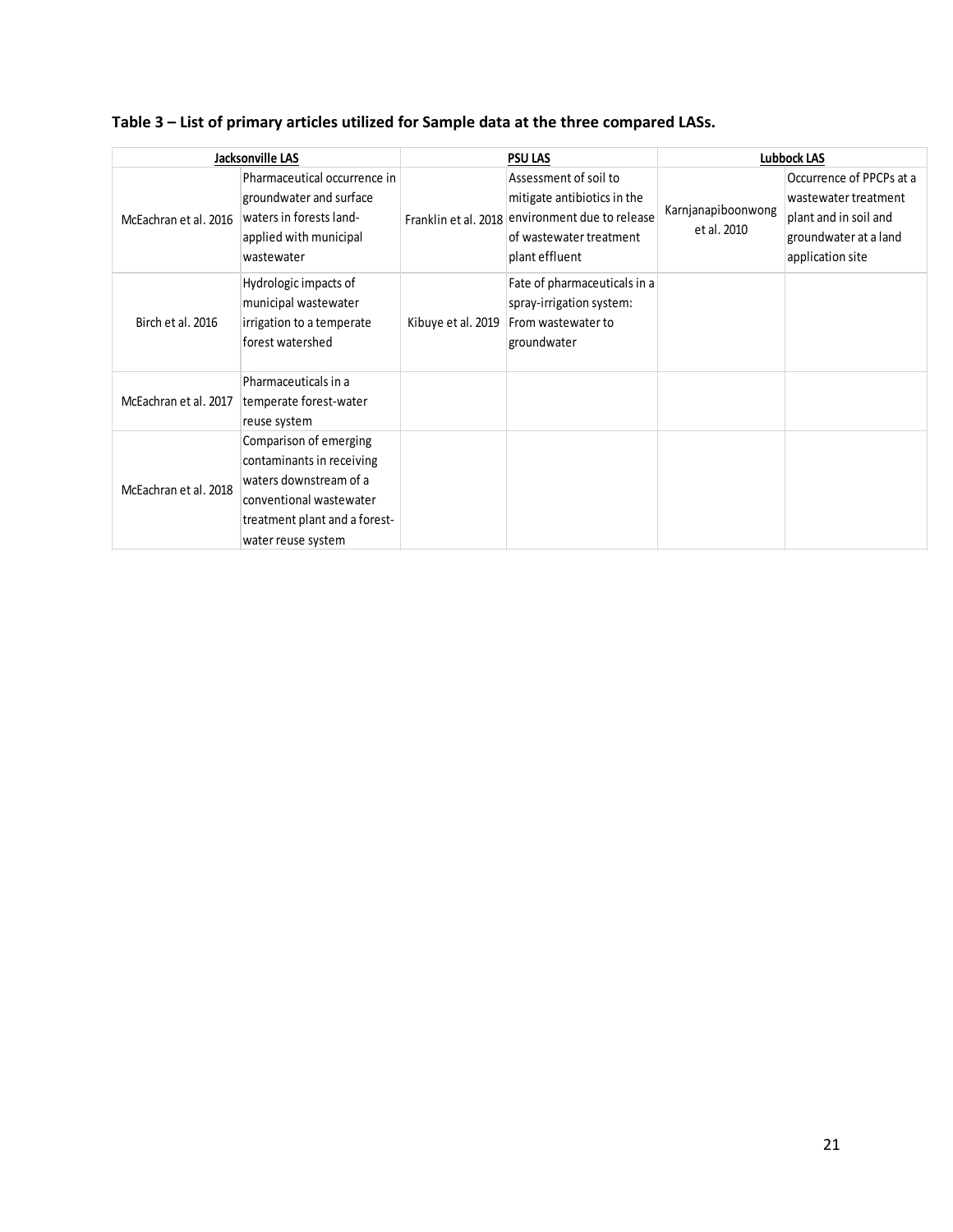| Table 3 – List of primary articles utilized for Sample data at the three compared LASs. |  |
|-----------------------------------------------------------------------------------------|--|
|                                                                                         |  |

|                       | Jacksonville LAS                                                                                                                                                |                      | <b>PSU LAS</b>                                                                                                                  |                                   | <b>Lubbock LAS</b>                                                                                                     |
|-----------------------|-----------------------------------------------------------------------------------------------------------------------------------------------------------------|----------------------|---------------------------------------------------------------------------------------------------------------------------------|-----------------------------------|------------------------------------------------------------------------------------------------------------------------|
| McEachran et al. 2016 | Pharmaceutical occurrence in<br>groundwater and surface<br>waters in forests land-<br>applied with municipal<br>wastewater                                      | Franklin et al. 2018 | Assessment of soil to<br>mitigate antibiotics in the<br>environment due to release<br>of wastewater treatment<br>plant effluent | Karnjanapiboonwong<br>et al. 2010 | Occurrence of PPCPs at a<br>wastewater treatment<br>plant and in soil and<br>groundwater at a land<br>application site |
| Birch et al. 2016     | Hydrologic impacts of<br>municipal wastewater<br>irrigation to a temperate<br>forest watershed                                                                  | Kibuye et al. 2019   | Fate of pharmaceuticals in a<br>spray-irrigation system:<br>From wastewater to<br>groundwater                                   |                                   |                                                                                                                        |
| McEachran et al. 2017 | Pharmaceuticals in a<br>temperate forest-water<br>reuse system                                                                                                  |                      |                                                                                                                                 |                                   |                                                                                                                        |
| McEachran et al. 2018 | Comparison of emerging<br>contaminants in receiving<br>waters downstream of a<br>conventional wastewater<br>treatment plant and a forest-<br>water reuse system |                      |                                                                                                                                 |                                   |                                                                                                                        |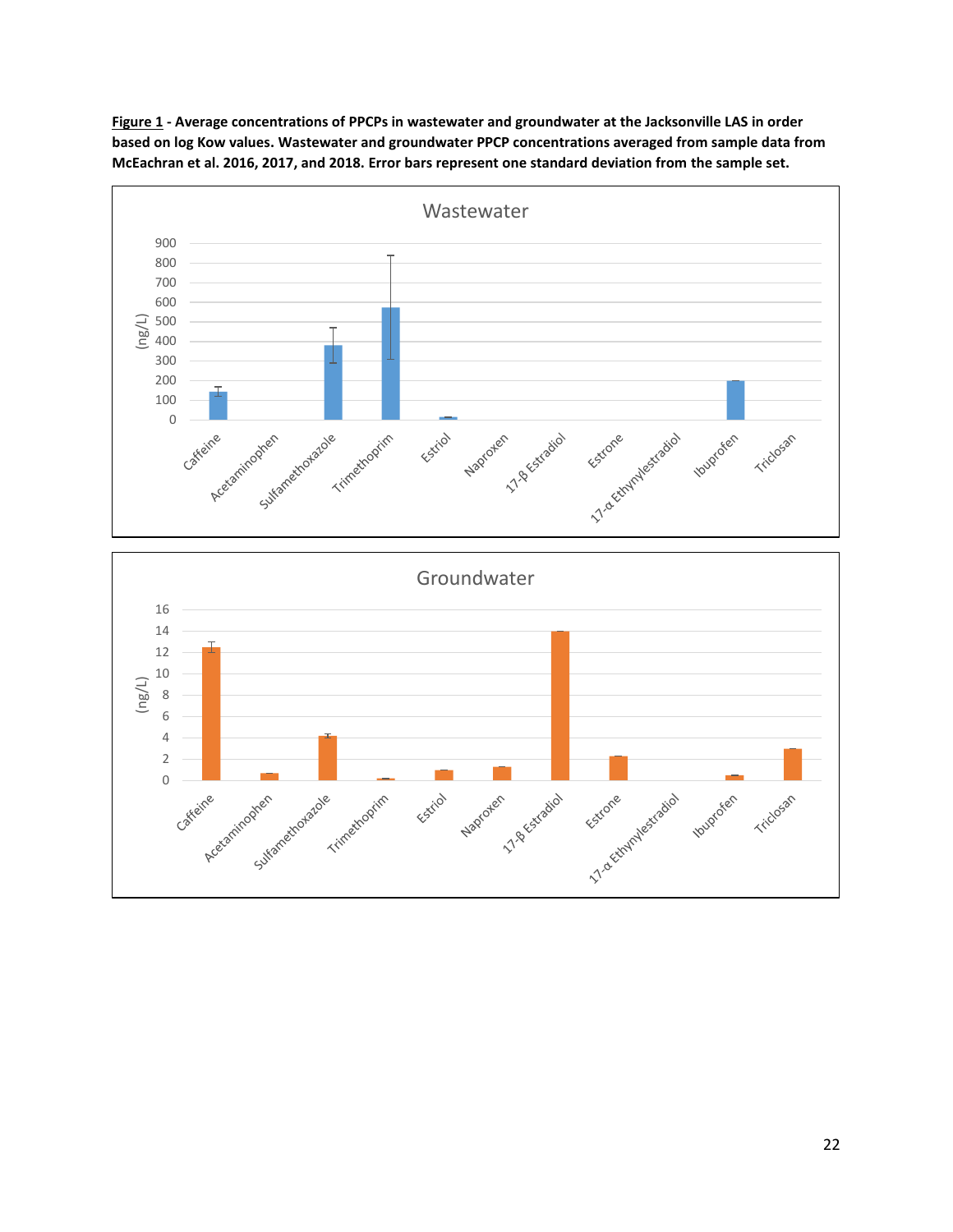

**Figure 1 - Average concentrations of PPCPs in wastewater and groundwater at the Jacksonville LAS in order based on log Kow values. Wastewater and groundwater PPCP concentrations averaged from sample data from McEachran et al. 2016, 2017, and 2018. Error bars represent one standard deviation from the sample set.**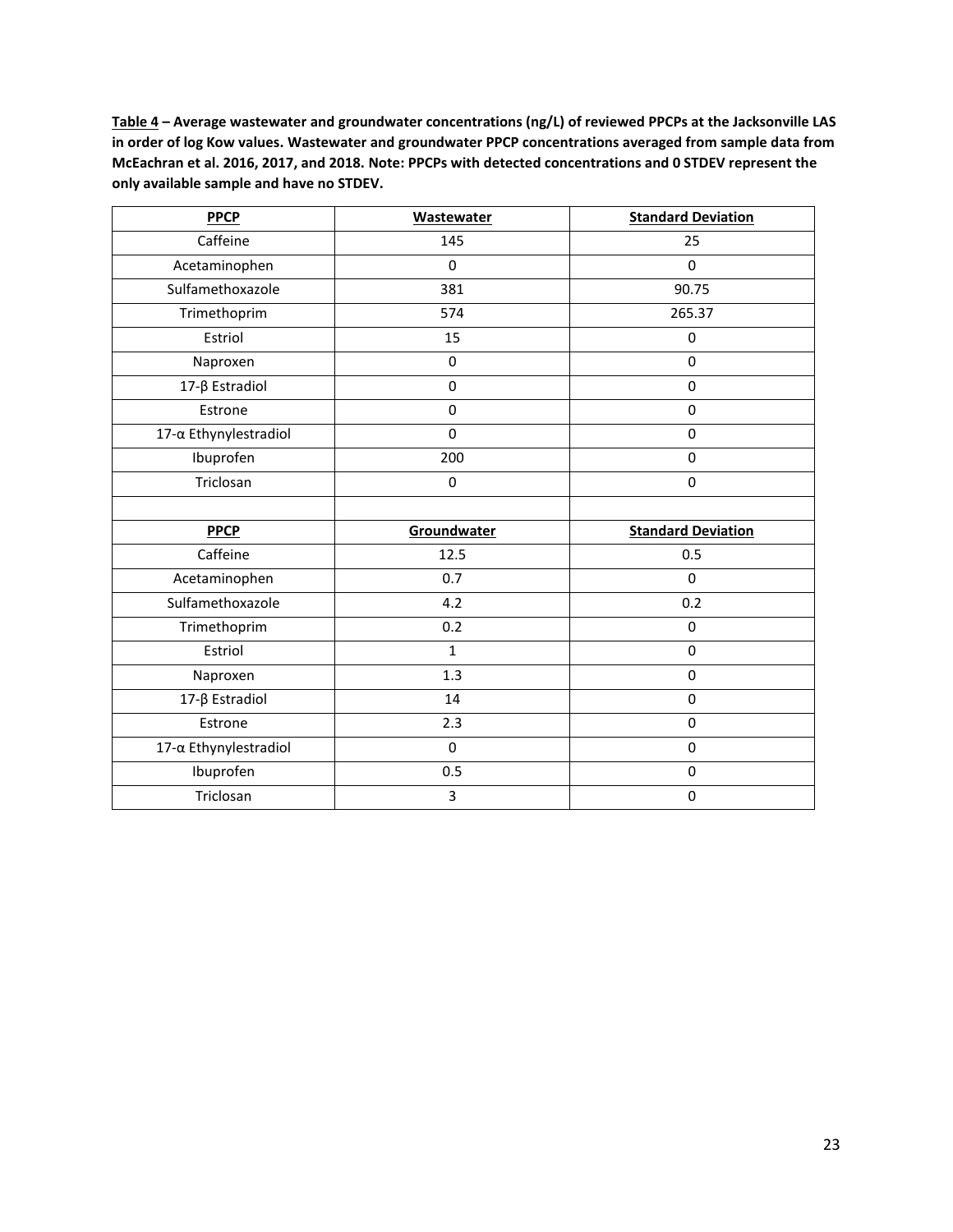**Table 4 – Average wastewater and groundwater concentrations (ng/L) of reviewed PPCPs at the Jacksonville LAS in order of log Kow values. Wastewater and groundwater PPCP concentrations averaged from sample data from McEachran et al. 2016, 2017, and 2018. Note: PPCPs with detected concentrations and 0 STDEV represent the only available sample and have no STDEV.**

| <b>PPCP</b>           | <b>Wastewater</b> | <b>Standard Deviation</b> |
|-----------------------|-------------------|---------------------------|
| Caffeine              | 145               | 25                        |
| Acetaminophen         | 0                 | $\Omega$                  |
| Sulfamethoxazole      | 381               | 90.75                     |
| Trimethoprim          | 574               | 265.37                    |
| Estriol               | 15                | 0                         |
| Naproxen              | $\pmb{0}$         | 0                         |
| 17-β Estradiol        | $\pmb{0}$         | 0                         |
| Estrone               | 0                 | $\Omega$                  |
| 17-α Ethynylestradiol | 0                 | 0                         |
| Ibuprofen             | 200               | 0                         |
| Triclosan             | 0                 | 0                         |
|                       |                   |                           |
| <b>PPCP</b>           | Groundwater       | <b>Standard Deviation</b> |
| Caffeine              | 12.5              | 0.5                       |
| Acetaminophen         | 0.7               | $\Omega$                  |
| Sulfamethoxazole      | 4.2               | 0.2                       |
| Trimethoprim          | 0.2               | $\mathbf 0$               |
| Estriol               | $\mathbf{1}$      | 0                         |
| Naproxen              | 1.3               | $\Omega$                  |
| 17-β Estradiol        | 14                | 0                         |
| Estrone               | 2.3               | 0                         |
| 17-α Ethynylestradiol | 0                 | 0                         |
| Ibuprofen             | 0.5               | 0                         |
| Triclosan             | 3                 | $\pmb{0}$                 |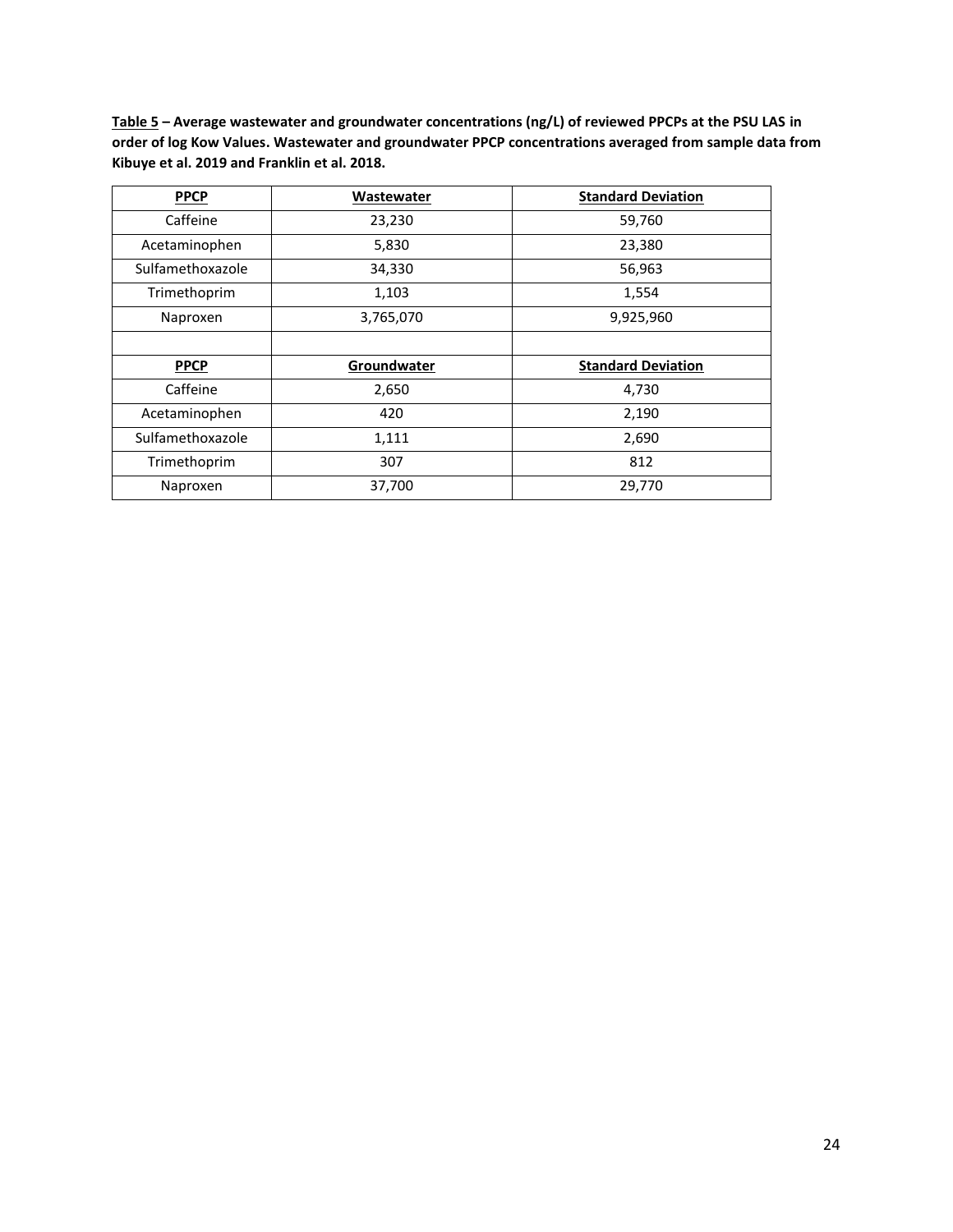**Table 5 – Average wastewater and groundwater concentrations (ng/L) of reviewed PPCPs at the PSU LAS in order of log Kow Values. Wastewater and groundwater PPCP concentrations averaged from sample data from Kibuye et al. 2019 and Franklin et al. 2018.**

| <b>PPCP</b>      | <b>Wastewater</b> | <b>Standard Deviation</b> |
|------------------|-------------------|---------------------------|
| Caffeine         | 23,230            | 59,760                    |
| Acetaminophen    | 5,830             | 23,380                    |
| Sulfamethoxazole | 34,330            | 56,963                    |
| Trimethoprim     | 1,103             | 1,554                     |
| Naproxen         | 3,765,070         | 9,925,960                 |
|                  |                   |                           |
| <b>PPCP</b>      | Groundwater       | <b>Standard Deviation</b> |
| Caffeine         | 2,650             | 4,730                     |
| Acetaminophen    | 420               | 2,190                     |
| Sulfamethoxazole | 1,111             | 2,690                     |
| Trimethoprim     | 307               | 812                       |
| Naproxen         | 37,700            | 29,770                    |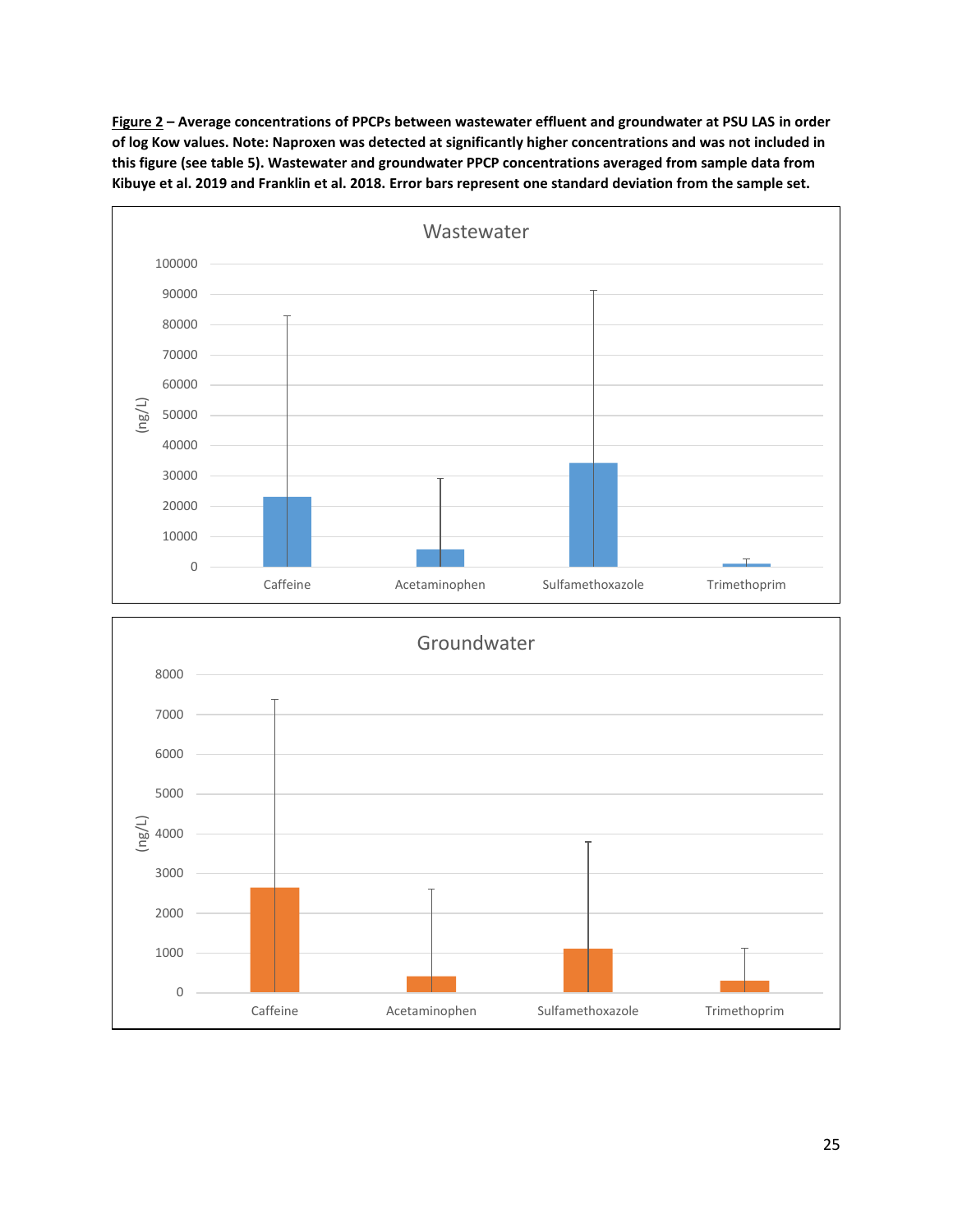**Figure 2 – Average concentrations of PPCPs between wastewater effluent and groundwater at PSU LAS in order of log Kow values. Note: Naproxen was detected at significantly higher concentrations and was not included in this figure (see table 5). Wastewater and groundwater PPCP concentrations averaged from sample data from Kibuye et al. 2019 and Franklin et al. 2018. Error bars represent one standard deviation from the sample set.**



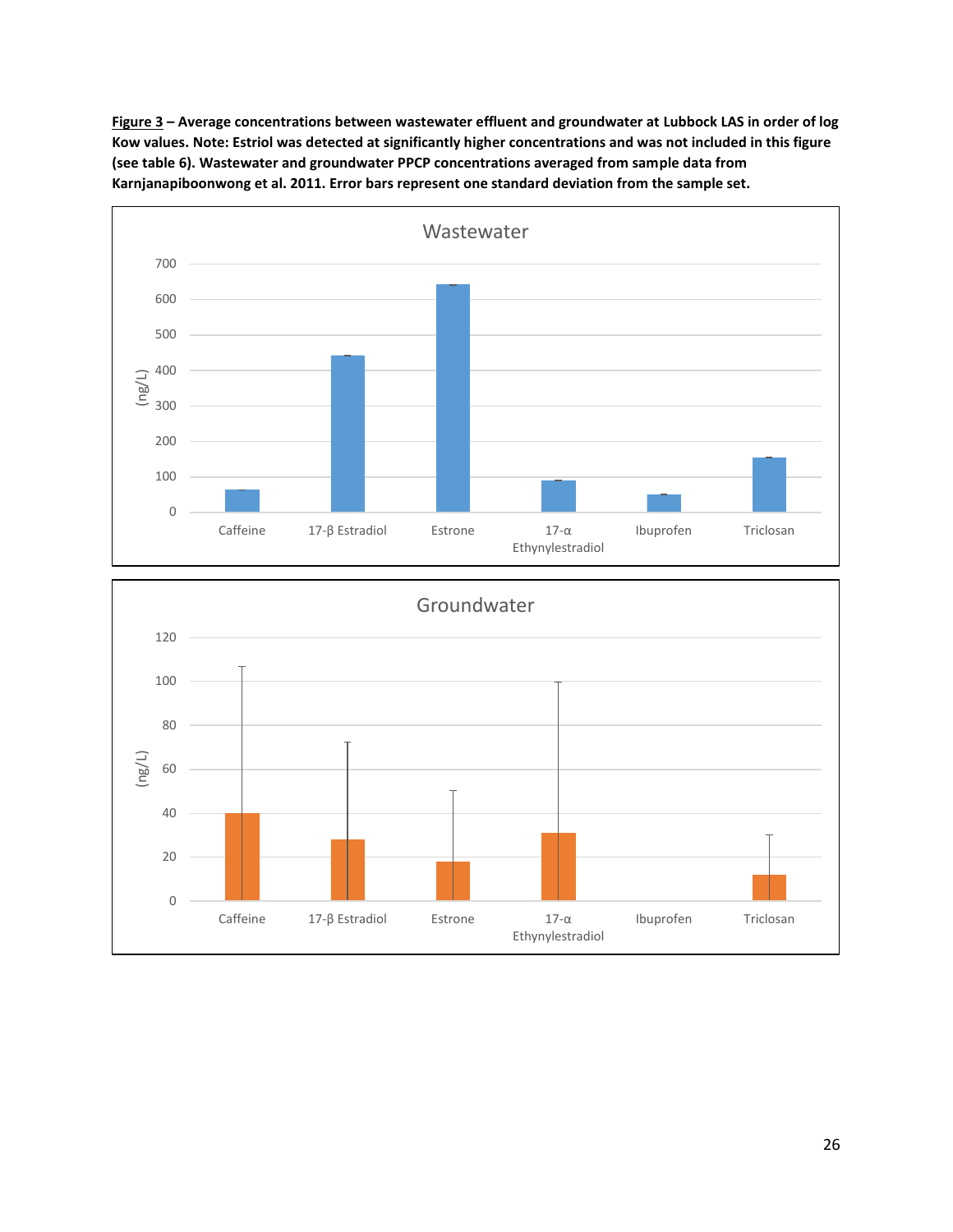**Figure 3 – Average concentrations between wastewater effluent and groundwater at Lubbock LAS in order of log Kow values. Note: Estriol was detected at significantly higher concentrations and was not included in this figure (see table 6). Wastewater and groundwater PPCP concentrations averaged from sample data from Karnjanapiboonwong et al. 2011. Error bars represent one standard deviation from the sample set.**



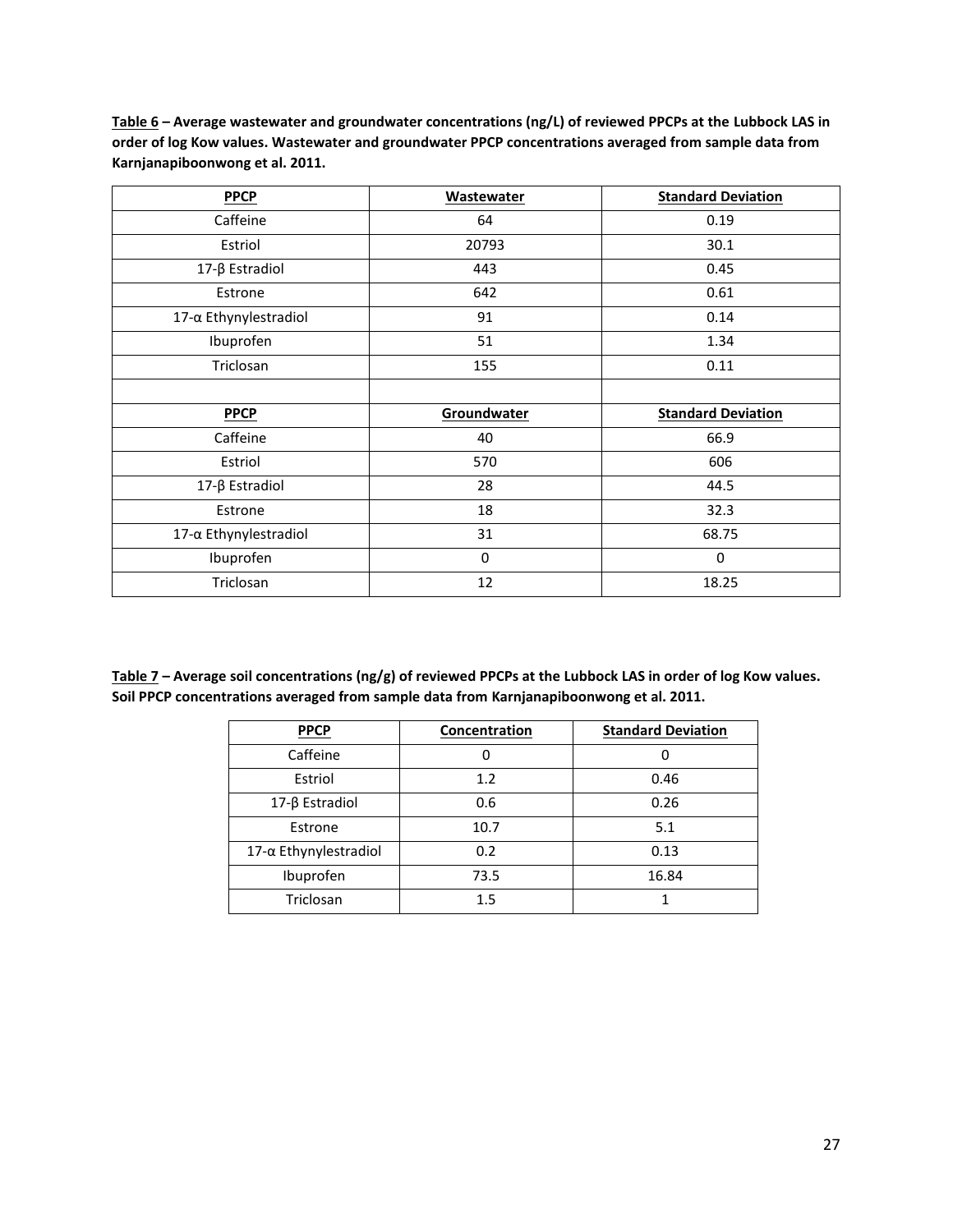**Table 6 – Average wastewater and groundwater concentrations (ng/L) of reviewed PPCPs at the Lubbock LAS in order of log Kow values. Wastewater and groundwater PPCP concentrations averaged from sample data from Karnjanapiboonwong et al. 2011.**

| <b>PPCP</b>           | <b>Wastewater</b> | <b>Standard Deviation</b> |
|-----------------------|-------------------|---------------------------|
| Caffeine              | 64                | 0.19                      |
| Estriol               | 20793             | 30.1                      |
| 17-β Estradiol        | 443               | 0.45                      |
| Estrone               | 642               | 0.61                      |
| 17-α Ethynylestradiol | 91                | 0.14                      |
| Ibuprofen             | 51                | 1.34                      |
| Triclosan             | 155               | 0.11                      |
|                       |                   |                           |
|                       |                   |                           |
| <b>PPCP</b>           | Groundwater       | <b>Standard Deviation</b> |
| Caffeine              | 40                | 66.9                      |
| Estriol               | 570               | 606                       |
| 17-β Estradiol        | 28                | 44.5                      |
| Estrone               | 18                | 32.3                      |
| 17-α Ethynylestradiol | 31                | 68.75                     |
| Ibuprofen             | 0                 | 0                         |

**Table 7 – Average soil concentrations (ng/g) of reviewed PPCPs at the Lubbock LAS in order of log Kow values. Soil PPCP concentrations averaged from sample data from Karnjanapiboonwong et al. 2011.**

| <b>PPCP</b>                  | Concentration | <b>Standard Deviation</b> |
|------------------------------|---------------|---------------------------|
| Caffeine                     | 0             | Ω                         |
| Estriol                      | 1.2           | 0.46                      |
| 17-β Estradiol               | 0.6           | 0.26                      |
| Estrone                      | 10.7          | 5.1                       |
| $17-\alpha$ Ethynylestradiol | 0.2           | 0.13                      |
| Ibuprofen                    | 73.5          | 16.84                     |
| Triclosan                    | 1.5           |                           |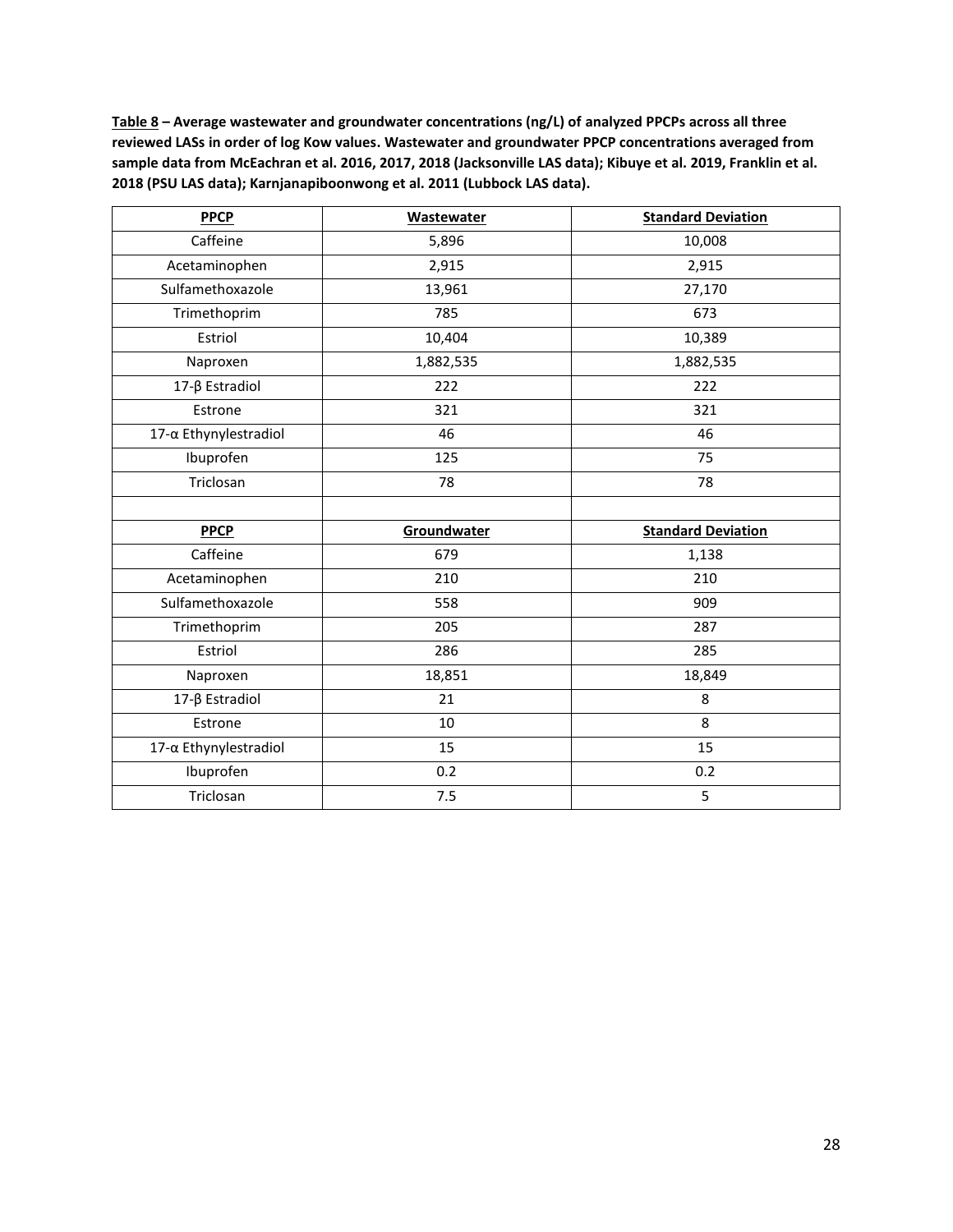**Table 8 – Average wastewater and groundwater concentrations (ng/L) of analyzed PPCPs across all three reviewed LASs in order of log Kow values. Wastewater and groundwater PPCP concentrations averaged from sample data from McEachran et al. 2016, 2017, 2018 (Jacksonville LAS data); Kibuye et al. 2019, Franklin et al. 2018 (PSU LAS data); Karnjanapiboonwong et al. 2011 (Lubbock LAS data).**

| <b>PPCP</b>           | <b>Wastewater</b> | <b>Standard Deviation</b> |
|-----------------------|-------------------|---------------------------|
| Caffeine              | 5,896             | 10,008                    |
| Acetaminophen         | 2,915             | 2,915                     |
| Sulfamethoxazole      | 13,961            | 27,170                    |
| Trimethoprim          | 785               | 673                       |
| Estriol               | 10,404            | 10,389                    |
| Naproxen              | 1,882,535         | 1,882,535                 |
| 17-β Estradiol        | 222               | 222                       |
| Estrone               | 321               | 321                       |
| 17-α Ethynylestradiol | 46                | 46                        |
| Ibuprofen             | 125               | 75                        |
| Triclosan             | 78                | 78                        |
|                       |                   |                           |
| <b>PPCP</b>           | Groundwater       | <b>Standard Deviation</b> |
| Caffeine              | 679               | 1,138                     |
| Acetaminophen         | 210               | 210                       |
| Sulfamethoxazole      | 558               | 909                       |
| Trimethoprim          | 205               | 287                       |
| Estriol               | 286               | 285                       |
| Naproxen              | 18,851            | 18,849                    |
| 17-β Estradiol        | 21                | 8                         |
| Estrone               | 10                | 8                         |
| 17-α Ethynylestradiol | 15                | 15                        |
| Ibuprofen             | 0.2               | 0.2                       |
| Triclosan             | 7.5               | 5                         |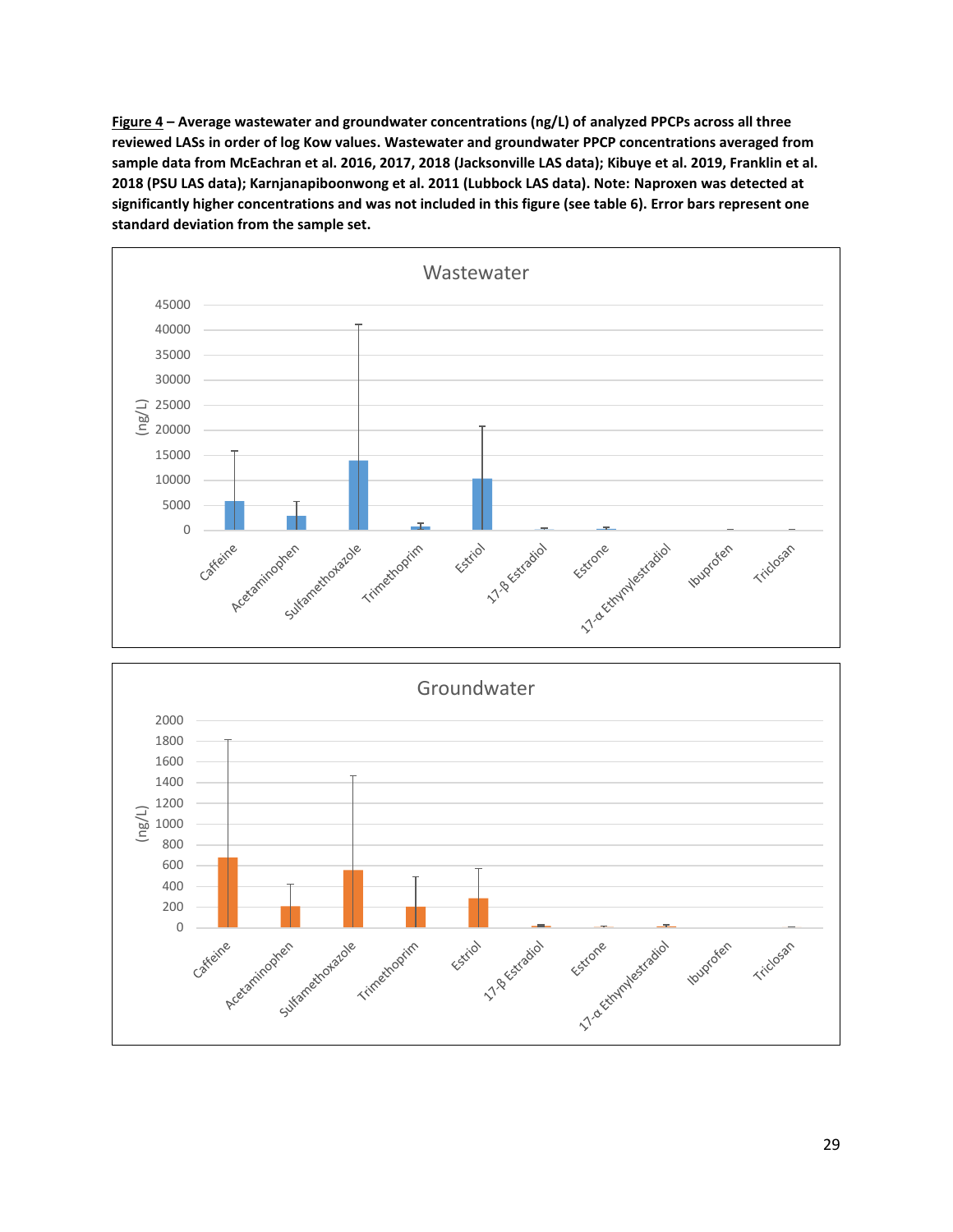**Figure 4 – Average wastewater and groundwater concentrations (ng/L) of analyzed PPCPs across all three reviewed LASs in order of log Kow values. Wastewater and groundwater PPCP concentrations averaged from sample data from McEachran et al. 2016, 2017, 2018 (Jacksonville LAS data); Kibuye et al. 2019, Franklin et al. 2018 (PSU LAS data); Karnjanapiboonwong et al. 2011 (Lubbock LAS data). Note: Naproxen was detected at significantly higher concentrations and was not included in this figure (see table 6). Error bars represent one standard deviation from the sample set.**



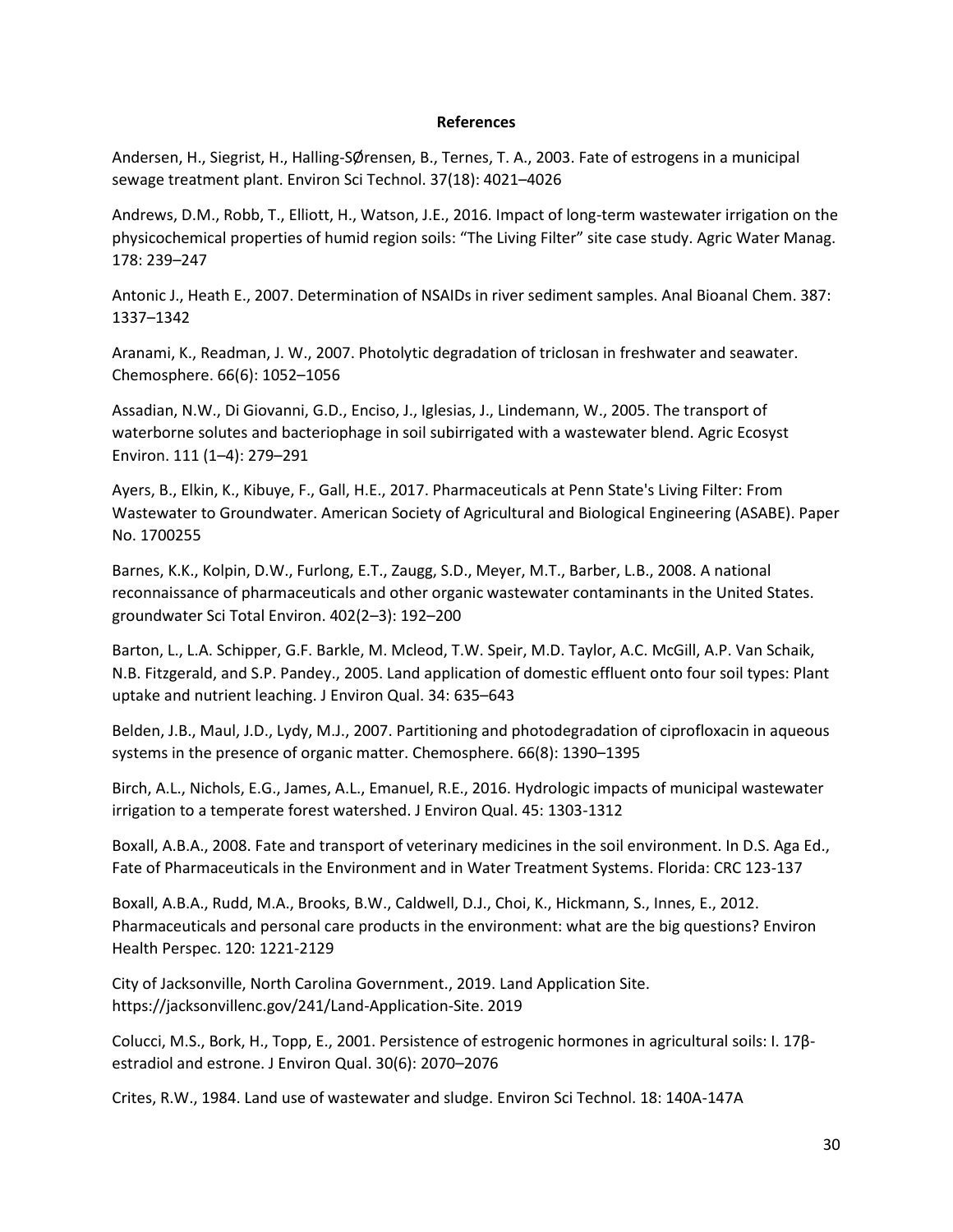### **References**

Andersen, H., Siegrist, H., Halling-SØrensen, B., Ternes, T. A., 2003. Fate of estrogens in a municipal sewage treatment plant. Environ Sci Technol. 37(18): 4021–4026

Andrews, D.M., Robb, T., Elliott, H., Watson, J.E., 2016. Impact of long-term wastewater irrigation on the physicochemical properties of humid region soils: "The Living Filter" site case study. Agric Water Manag. 178: 239–247

Antonic J., Heath E., 2007. Determination of NSAIDs in river sediment samples. Anal Bioanal Chem. 387: 1337–1342

Aranami, K., Readman, J. W., 2007. Photolytic degradation of triclosan in freshwater and seawater. Chemosphere. 66(6): 1052–1056

Assadian, N.W., Di Giovanni, G.D., Enciso, J., Iglesias, J., Lindemann, W., 2005. The transport of waterborne solutes and bacteriophage in soil subirrigated with a wastewater blend. Agric Ecosyst Environ. 111 (1–4): 279–291

Ayers, B., Elkin, K., Kibuye, F., Gall, H.E., 2017. Pharmaceuticals at Penn State's Living Filter: From Wastewater to Groundwater. American Society of Agricultural and Biological Engineering (ASABE). Paper No. 1700255

Barnes, K.K., Kolpin, D.W., Furlong, E.T., Zaugg, S.D., Meyer, M.T., Barber, L.B., 2008. A national reconnaissance of pharmaceuticals and other organic wastewater contaminants in the United States. groundwater Sci Total Environ. 402(2–3): 192–200

Barton, L., L.A. Schipper, G.F. Barkle, M. Mcleod, T.W. Speir, M.D. Taylor, A.C. McGill, A.P. Van Schaik, N.B. Fitzgerald, and S.P. Pandey., 2005. Land application of domestic effluent onto four soil types: Plant uptake and nutrient leaching. J Environ Qual. 34: 635–643

Belden, J.B., Maul, J.D., Lydy, M.J., 2007. Partitioning and photodegradation of ciprofloxacin in aqueous systems in the presence of organic matter. Chemosphere. 66(8): 1390–1395

Birch, A.L., Nichols, E.G., James, A.L., Emanuel, R.E., 2016. Hydrologic impacts of municipal wastewater irrigation to a temperate forest watershed. J Environ Qual. 45: 1303-1312

Boxall, A.B.A., 2008. Fate and transport of veterinary medicines in the soil environment. In D.S. Aga Ed., Fate of Pharmaceuticals in the Environment and in Water Treatment Systems. Florida: CRC 123-137

Boxall, A.B.A., Rudd, M.A., Brooks, B.W., Caldwell, D.J., Choi, K., Hickmann, S., Innes, E., 2012. Pharmaceuticals and personal care products in the environment: what are the big questions? Environ Health Perspec. 120: 1221-2129

City of Jacksonville, North Carolina Government., 2019. Land Application Site. [https://jacksonvillenc.gov/241/Land-Application-Site.](https://jacksonvillenc.gov/241/Land-Application-Site) 2019

Colucci, M.S., Bork, H., Topp, E., 2001. Persistence of estrogenic hormones in agricultural soils: I. 17βestradiol and estrone. J Environ Qual. 30(6): 2070–2076

Crites, R.W., 1984. Land use of wastewater and sludge. Environ Sci Technol. 18: 140A-147A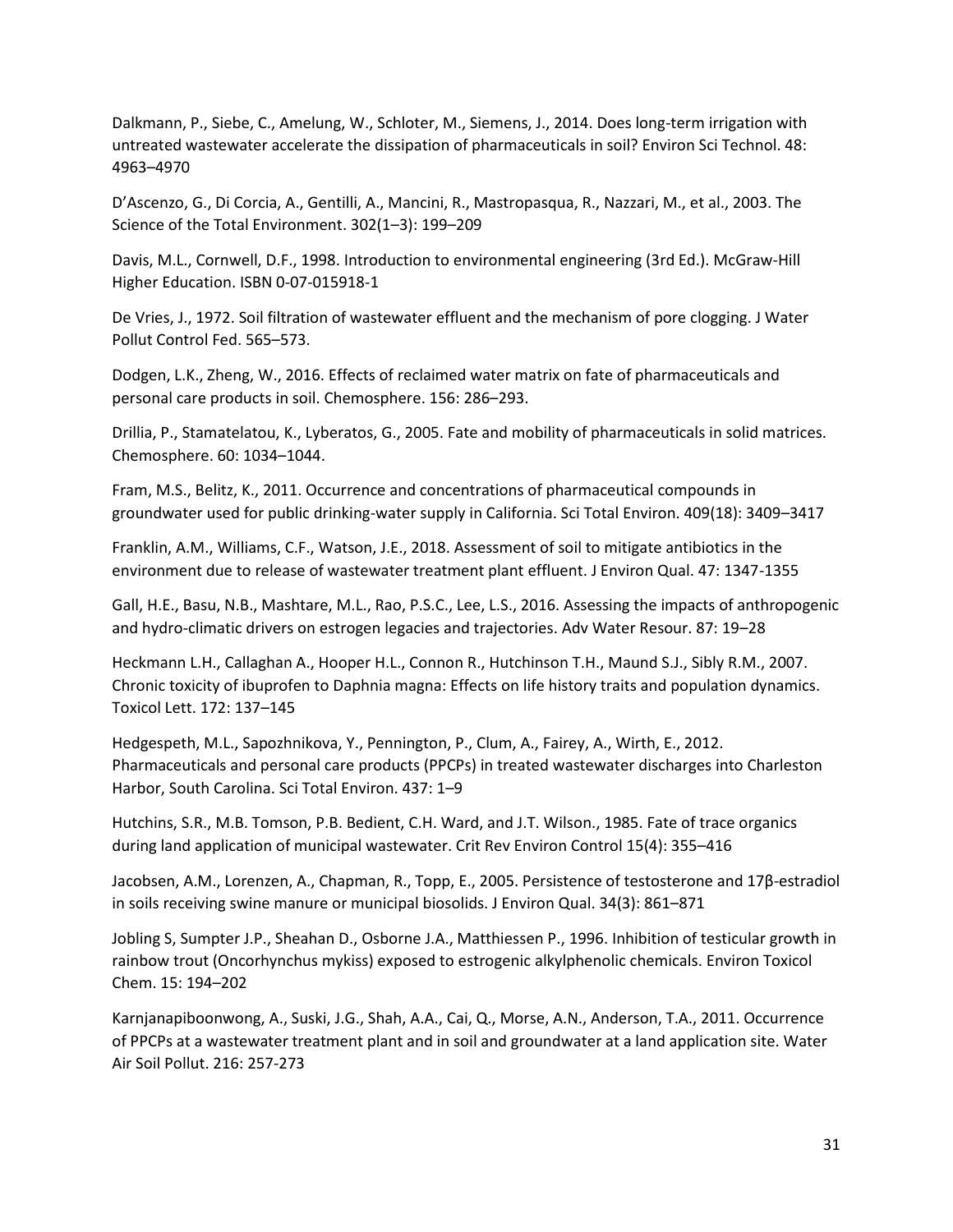Dalkmann, P., Siebe, C., Amelung, W., Schloter, M., Siemens, J., 2014. Does long-term irrigation with untreated wastewater accelerate the dissipation of pharmaceuticals in soil? Environ Sci Technol. 48: 4963–4970

D'Ascenzo, G., Di Corcia, A., Gentilli, A., Mancini, R., Mastropasqua, R., Nazzari, M., et al., 2003. The Science of the Total Environment. 302(1–3): 199–209

Davis, M.L., Cornwell, D.F., 1998. Introduction to environmental engineering (3rd Ed.). McGraw-Hill Higher Education. ISBN 0-07-015918-1

De Vries, J., 1972. Soil filtration of wastewater effluent and the mechanism of pore clogging. J Water Pollut Control Fed. 565–573.

Dodgen, L.K., Zheng, W., 2016. Effects of reclaimed water matrix on fate of pharmaceuticals and personal care products in soil. Chemosphere. 156: 286–293.

Drillia, P., Stamatelatou, K., Lyberatos, G., 2005. Fate and mobility of pharmaceuticals in solid matrices. Chemosphere. 60: 1034–1044.

Fram, M.S., Belitz, K., 2011. Occurrence and concentrations of pharmaceutical compounds in groundwater used for public drinking-water supply in California. Sci Total Environ. 409(18): 3409–3417

Franklin, A.M., Williams, C.F., Watson, J.E., 2018. Assessment of soil to mitigate antibiotics in the environment due to release of wastewater treatment plant effluent. J Environ Qual. 47: 1347-1355

Gall, H.E., Basu, N.B., Mashtare, M.L., Rao, P.S.C., Lee, L.S., 2016. Assessing the impacts of anthropogenic and hydro-climatic drivers on estrogen legacies and trajectories. Adv Water Resour. 87: 19–28

Heckmann L.H., Callaghan A., Hooper H.L., Connon R., Hutchinson T.H., Maund S.J., Sibly R.M., 2007. Chronic toxicity of ibuprofen to Daphnia magna: Effects on life history traits and population dynamics. Toxicol Lett. 172: 137–145

Hedgespeth, M.L., Sapozhnikova, Y., Pennington, P., Clum, A., Fairey, A., Wirth, E., 2012. Pharmaceuticals and personal care products (PPCPs) in treated wastewater discharges into Charleston Harbor, South Carolina. Sci Total Environ. 437: 1–9

Hutchins, S.R., M.B. Tomson, P.B. Bedient, C.H. Ward, and J.T. Wilson., 1985. Fate of trace organics during land application of municipal wastewater. Crit Rev Environ Control 15(4): 355–416

Jacobsen, A.M., Lorenzen, A., Chapman, R., Topp, E., 2005. Persistence of testosterone and 17β-estradiol in soils receiving swine manure or municipal biosolids. J Environ Qual. 34(3): 861–871

Jobling S, Sumpter J.P., Sheahan D., Osborne J.A., Matthiessen P., 1996. Inhibition of testicular growth in rainbow trout (Oncorhynchus mykiss) exposed to estrogenic alkylphenolic chemicals. Environ Toxicol Chem. 15: 194–202

Karnjanapiboonwong, A., Suski, J.G., Shah, A.A., Cai, Q., Morse, A.N., Anderson, T.A., 2011. Occurrence of PPCPs at a wastewater treatment plant and in soil and groundwater at a land application site. Water Air Soil Pollut. 216: 257-273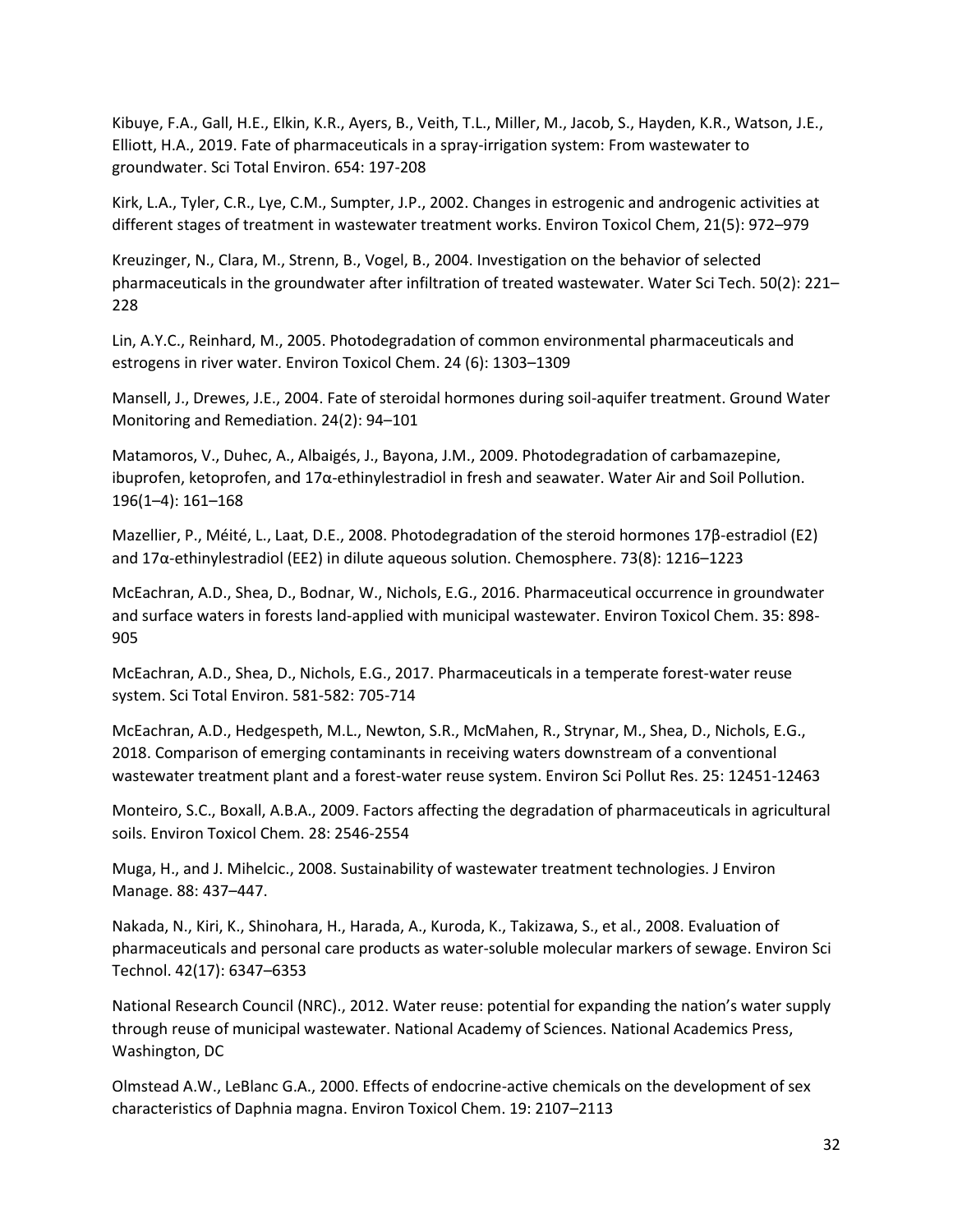Kibuye, F.A., Gall, H.E., Elkin, K.R., Ayers, B., Veith, T.L., Miller, M., Jacob, S., Hayden, K.R., Watson, J.E., Elliott, H.A., 2019. Fate of pharmaceuticals in a spray-irrigation system: From wastewater to groundwater. Sci Total Environ. 654: 197-208

Kirk, L.A., Tyler, C.R., Lye, C.M., Sumpter, J.P., 2002. Changes in estrogenic and androgenic activities at different stages of treatment in wastewater treatment works. Environ Toxicol Chem, 21(5): 972–979

Kreuzinger, N., Clara, M., Strenn, B., Vogel, B., 2004. Investigation on the behavior of selected pharmaceuticals in the groundwater after infiltration of treated wastewater. Water Sci Tech. 50(2): 221– 228

Lin, A.Y.C., Reinhard, M., 2005. Photodegradation of common environmental pharmaceuticals and estrogens in river water. Environ Toxicol Chem. 24 (6): 1303–1309

Mansell, J., Drewes, J.E., 2004. Fate of steroidal hormones during soil-aquifer treatment. Ground Water Monitoring and Remediation. 24(2): 94–101

Matamoros, V., Duhec, A., Albaigés, J., Bayona, J.M., 2009. Photodegradation of carbamazepine, ibuprofen, ketoprofen, and 17α-ethinylestradiol in fresh and seawater. Water Air and Soil Pollution. 196(1–4): 161–168

Mazellier, P., Méité, L., Laat, D.E., 2008. Photodegradation of the steroid hormones 17β-estradiol (E2) and 17α-ethinylestradiol (EE2) in dilute aqueous solution. Chemosphere. 73(8): 1216–1223

McEachran, A.D., Shea, D., Bodnar, W., Nichols, E.G., 2016. Pharmaceutical occurrence in groundwater and surface waters in forests land-applied with municipal wastewater. Environ Toxicol Chem. 35: 898- 905

McEachran, A.D., Shea, D., Nichols, E.G., 2017. Pharmaceuticals in a temperate forest-water reuse system. Sci Total Environ. 581-582: 705-714

McEachran, A.D., Hedgespeth, M.L., Newton, S.R., McMahen, R., Strynar, M., Shea, D., Nichols, E.G., 2018. Comparison of emerging contaminants in receiving waters downstream of a conventional wastewater treatment plant and a forest-water reuse system. Environ Sci Pollut Res. 25: 12451-12463

Monteiro, S.C., Boxall, A.B.A., 2009. Factors affecting the degradation of pharmaceuticals in agricultural soils. Environ Toxicol Chem. 28: 2546-2554

Muga, H., and J. Mihelcic., 2008. Sustainability of wastewater treatment technologies. J Environ Manage. 88: 437–447.

Nakada, N., Kiri, K., Shinohara, H., Harada, A., Kuroda, K., Takizawa, S., et al., 2008. Evaluation of pharmaceuticals and personal care products as water-soluble molecular markers of sewage. Environ Sci Technol. 42(17): 6347–6353

National Research Council (NRC)., 2012. Water reuse: potential for expanding the nation's water supply through reuse of municipal wastewater. National Academy of Sciences. National Academics Press, Washington, DC

Olmstead A.W., LeBlanc G.A., 2000. Effects of endocrine-active chemicals on the development of sex characteristics of Daphnia magna. Environ Toxicol Chem. 19: 2107–2113